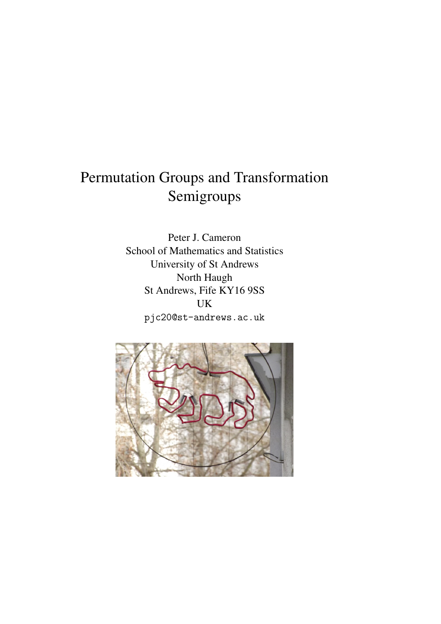## Permutation Groups and Transformation Semigroups

Peter J. Cameron School of Mathematics and Statistics University of St Andrews North Haugh St Andrews, Fife KY16 9SS UK pjc20@st-andrews.ac.uk

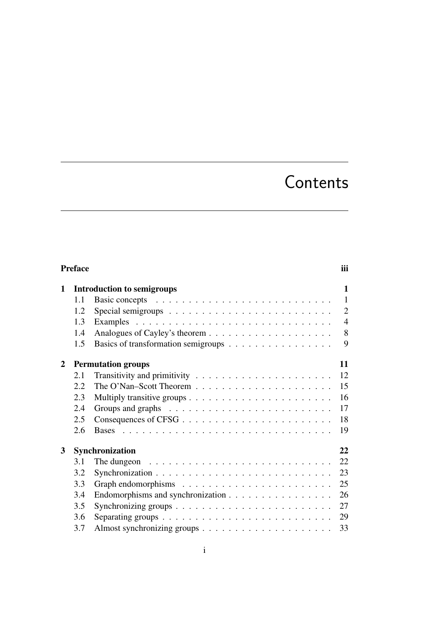# Contents

|   | <b>Preface</b>               |                                                                                 | iii            |  |  |  |  |  |  |
|---|------------------------------|---------------------------------------------------------------------------------|----------------|--|--|--|--|--|--|
| 1 |                              | <b>Introduction to semigroups</b>                                               | $\mathbf{1}$   |  |  |  |  |  |  |
|   | 1.1                          |                                                                                 | $\mathbf{1}$   |  |  |  |  |  |  |
|   | 1.2                          | Special semigroups $\ldots \ldots \ldots \ldots \ldots \ldots \ldots \ldots$    | $\overline{2}$ |  |  |  |  |  |  |
|   | 1.3                          |                                                                                 | $\overline{4}$ |  |  |  |  |  |  |
|   | 1.4                          |                                                                                 | 8              |  |  |  |  |  |  |
|   | 1.5                          | Basics of transformation semigroups                                             | 9              |  |  |  |  |  |  |
| 2 |                              | <b>Permutation groups</b>                                                       | 11             |  |  |  |  |  |  |
|   | 2.1                          |                                                                                 | 12             |  |  |  |  |  |  |
|   | 2.2                          | The O'Nan-Scott Theorem $\ldots \ldots \ldots \ldots \ldots \ldots \ldots$      | 15             |  |  |  |  |  |  |
|   | 2.3                          |                                                                                 | 16             |  |  |  |  |  |  |
|   | 2.4                          |                                                                                 | 17             |  |  |  |  |  |  |
|   | 2.5                          |                                                                                 | 18             |  |  |  |  |  |  |
|   | 2.6                          |                                                                                 | 19             |  |  |  |  |  |  |
| 3 | 22<br><b>Synchronization</b> |                                                                                 |                |  |  |  |  |  |  |
|   | 3.1                          | The dungeon $\ldots \ldots \ldots \ldots \ldots \ldots \ldots \ldots \ldots$    | 22             |  |  |  |  |  |  |
|   | 3.2                          |                                                                                 | 23             |  |  |  |  |  |  |
|   | 3.3                          |                                                                                 | 25             |  |  |  |  |  |  |
|   | 3.4                          | Endomorphisms and synchronization                                               | 26             |  |  |  |  |  |  |
|   | 3.5                          |                                                                                 | 27             |  |  |  |  |  |  |
|   | 3.6                          | Separating groups $\dots \dots \dots \dots \dots \dots \dots \dots \dots \dots$ | 29             |  |  |  |  |  |  |
|   | 3.7                          |                                                                                 | 33             |  |  |  |  |  |  |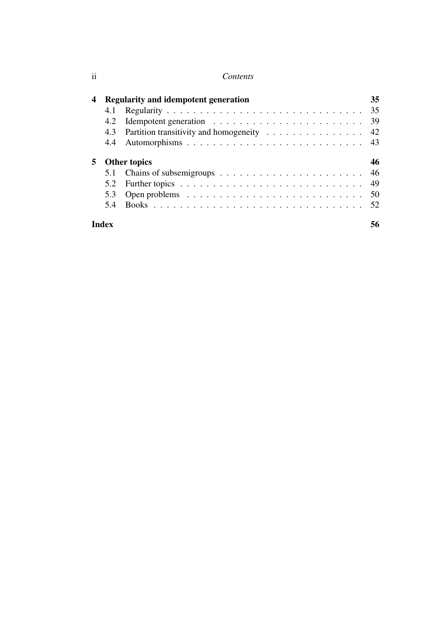| 4 |       | Regularity and idempotent generation          | 35 |
|---|-------|-----------------------------------------------|----|
|   |       |                                               |    |
|   | 4.2   |                                               |    |
|   |       | 4.3 Partition transitivity and homogeneity 42 |    |
|   |       |                                               |    |
| 5 |       | <b>Other topics</b>                           | 46 |
|   |       |                                               | 46 |
|   | 5.2   |                                               | 49 |
|   | 5.3   |                                               | 50 |
|   | 5.4   |                                               |    |
|   | Index |                                               | 56 |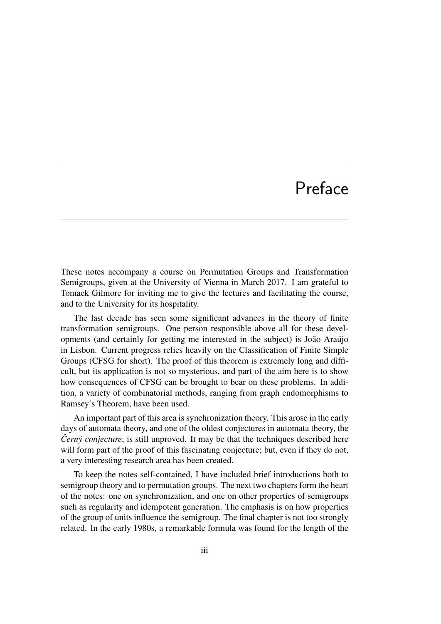# Preface

These notes accompany a course on Permutation Groups and Transformation Semigroups, given at the University of Vienna in March 2017. I am grateful to Tomack Gilmore for inviting me to give the lectures and facilitating the course, and to the University for its hospitality.

The last decade has seen some significant advances in the theory of finite transformation semigroups. One person responsible above all for these developments (and certainly for getting me interested in the subject) is João Araújo in Lisbon. Current progress relies heavily on the Classification of Finite Simple Groups (CFSG for short). The proof of this theorem is extremely long and difficult, but its application is not so mysterious, and part of the aim here is to show how consequences of CFSG can be brought to bear on these problems. In addition, a variety of combinatorial methods, ranging from graph endomorphisms to Ramsey's Theorem, have been used.

An important part of this area is synchronization theory. This arose in the early days of automata theory, and one of the oldest conjectures in automata theory, the *Černý conjecture*, is still unproved. It may be that the techniques described here will form part of the proof of this fascinating conjecture; but, even if they do not, a very interesting research area has been created.

To keep the notes self-contained, I have included brief introductions both to semigroup theory and to permutation groups. The next two chapters form the heart of the notes: one on synchronization, and one on other properties of semigroups such as regularity and idempotent generation. The emphasis is on how properties of the group of units influence the semigroup. The final chapter is not too strongly related. In the early 1980s, a remarkable formula was found for the length of the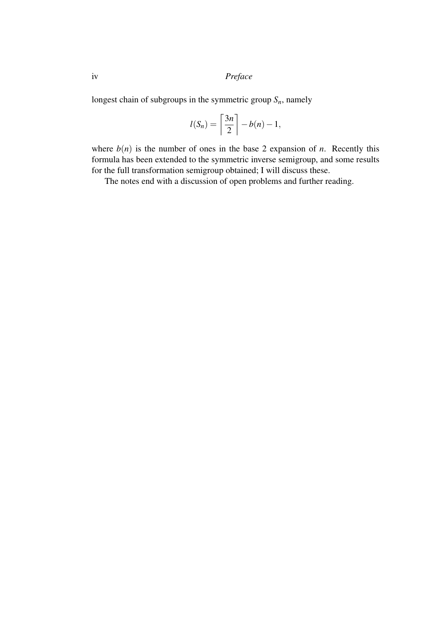iv *Preface*

longest chain of subgroups in the symmetric group *Sn*, namely

$$
l(S_n) = \left\lceil \frac{3n}{2} \right\rceil - b(n) - 1,
$$

where  $b(n)$  is the number of ones in the base 2 expansion of *n*. Recently this formula has been extended to the symmetric inverse semigroup, and some results for the full transformation semigroup obtained; I will discuss these.

The notes end with a discussion of open problems and further reading.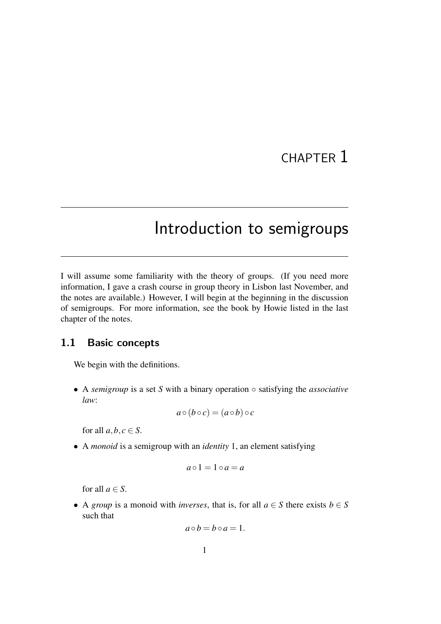## CHAPTER 1

## Introduction to semigroups

I will assume some familiarity with the theory of groups. (If you need more information, I gave a crash course in group theory in Lisbon last November, and the notes are available.) However, I will begin at the beginning in the discussion of semigroups. For more information, see the book by Howie listed in the last chapter of the notes.

### 1.1 Basic concepts

We begin with the definitions.

• A *semigroup* is a set *S* with a binary operation ◦ satisfying the *associative law*:

$$
a\circ(b\circ c)=(a\circ b)\circ c
$$

for all  $a, b, c \in S$ .

• A *monoid* is a semigroup with an *identity* 1, an element satisfying

$$
a \circ 1 = 1 \circ a = a
$$

for all  $a \in S$ .

• A *group* is a monoid with *inverses*, that is, for all  $a \in S$  there exists  $b \in S$ such that

$$
a\circ b=b\circ a=1.
$$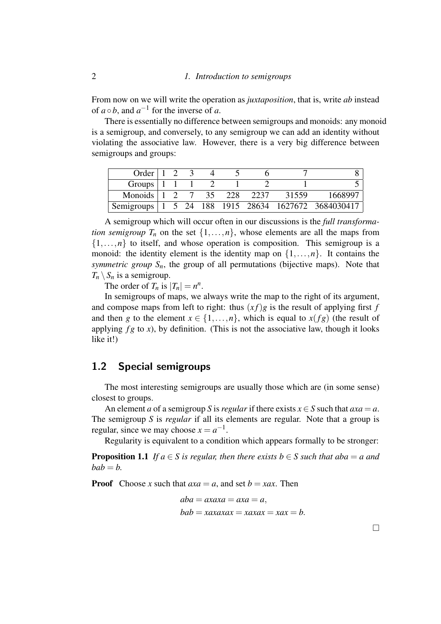From now on we will write the operation as *juxtaposition*, that is, write *ab* instead of  $a \circ b$ , and  $a^{-1}$  for the inverse of *a*.

There is essentially no difference between semigroups and monoids: any monoid is a semigroup, and conversely, to any semigroup we can add an identity without violating the associative law. However, there is a very big difference between semigroups and groups:

| Order $\vert$ 1                                  |  |  |      |       |                                                       |
|--------------------------------------------------|--|--|------|-------|-------------------------------------------------------|
| Groups $\begin{vmatrix} 1 & 1 & 1 \end{vmatrix}$ |  |  |      |       |                                                       |
| Monoids $1 \t2 \t7 \t35 \t228$                   |  |  | 2237 | 31559 | 1668997                                               |
|                                                  |  |  |      |       | Semigroups   1 5 24 188 1915 28634 1627672 3684030417 |

A semigroup which will occur often in our discussions is the *full transformation semigroup*  $T_n$  on the set  $\{1, \ldots, n\}$ , whose elements are all the maps from  $\{1,\ldots,n\}$  to itself, and whose operation is composition. This semigroup is a monoid: the identity element is the identity map on  $\{1,\ldots,n\}$ . It contains the *symmetric group*  $S_n$ , the group of all permutations (bijective maps). Note that  $T_n \setminus S_n$  is a semigroup.

The order of  $T_n$  is  $|T_n| = n^n$ .

In semigroups of maps, we always write the map to the right of its argument, and compose maps from left to right: thus  $(x f)g$  is the result of applying first *f* and then *g* to the element  $x \in \{1, \ldots, n\}$ , which is equal to  $x(fg)$  (the result of applying  $fg$  to  $x$ ), by definition. (This is not the associative law, though it looks like it!)

#### 1.2 Special semigroups

The most interesting semigroups are usually those which are (in some sense) closest to groups.

An element *a* of a semigroup *S* is *regular* if there exists  $x \in S$  such that  $axa = a$ . The semigroup *S* is *regular* if all its elements are regular. Note that a group is regular, since we may choose  $x = a^{-1}$ .

Regularity is equivalent to a condition which appears formally to be stronger:

**Proposition 1.1** *If a*  $\in$  *S* is regular, then there exists b  $\in$  *S* such that aba = *a* and  $bab = b$ .

**Proof** Choose *x* such that  $axa = a$ , and set  $b = xax$ . Then

$$
aba = axaxa = axa = a,
$$
  

$$
bab = xaxaxax = xaxax = xa = b.
$$

 $\Box$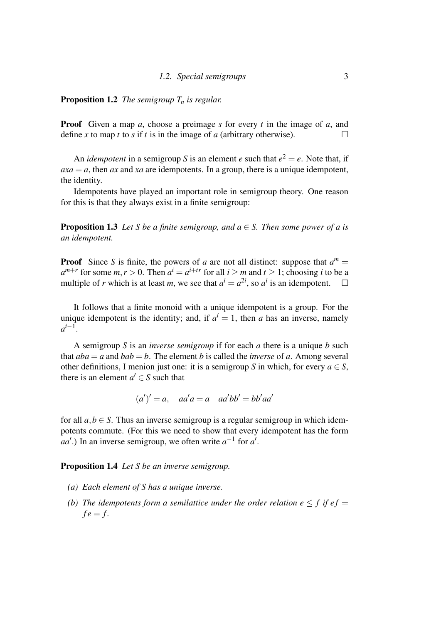#### Proposition 1.2 *The semigroup T<sup>n</sup> is regular.*

Proof Given a map *a*, choose a preimage *s* for every *t* in the image of *a*, and define *x* to map *t* to *s* if *t* is in the image of *a* (arbitrary otherwise).

An *idempotent* in a semigroup S is an element *e* such that  $e^2 = e$ . Note that, if  $axa = a$ , then *ax* and *xa* are idempotents. In a group, there is a unique idempotent, the identity.

Idempotents have played an important role in semigroup theory. One reason for this is that they always exist in a finite semigroup:

**Proposition 1.3** *Let S be a finite semigroup, and*  $a \in S$ *. Then some power of a is an idempotent.*

**Proof** Since *S* is finite, the powers of *a* are not all distinct: suppose that  $a^m =$  $a^{m+r}$  for some  $m, r > 0$ . Then  $a^i = a^{i+tr}$  for all  $i \ge m$  and  $t \ge 1$ ; choosing *i* to be a multiple of *r* which is at least *m*, we see that  $a^i = a^{2i}$ , so  $a^i$  is an idempotent.  $\square$ 

It follows that a finite monoid with a unique idempotent is a group. For the unique idempotent is the identity; and, if  $a^i = 1$ , then *a* has an inverse, namely  $a^{i-1}$ .

A semigroup *S* is an *inverse semigroup* if for each *a* there is a unique *b* such that  $aba = a$  and  $bab = b$ . The element *b* is called the *inverse* of *a*. Among several other definitions, I menion just one: it is a semigroup *S* in which, for every  $a \in S$ , there is an element  $a' \in S$  such that

$$
(a')' = a, \quad aa'a = a \quad aa'bb' = bb'aa'
$$

for all  $a, b \in S$ . Thus an inverse semigroup is a regular semigroup in which idempotents commute. (For this we need to show that every idempotent has the form *aa'*.) In an inverse semigroup, we often write  $a^{-1}$  for  $a'$ .

Proposition 1.4 *Let S be an inverse semigroup.*

- *(a) Each element of S has a unique inverse.*
- *(b)* The idempotents form a semilattice under the order relation  $e \leq f$  if  $ef =$  $fe = f$ .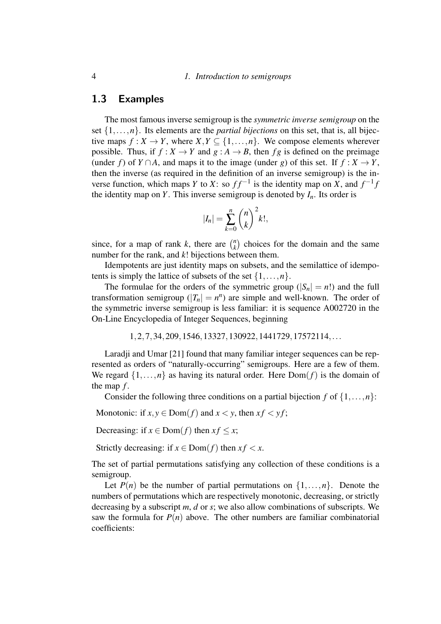#### 4 *1. Introduction to semigroups*

#### 1.3 Examples

The most famous inverse semigroup is the *symmetric inverse semigroup* on the set  $\{1, \ldots, n\}$ . Its elements are the *partial bijections* on this set, that is, all bijective maps  $f: X \to Y$ , where  $X, Y \subseteq \{1, \ldots, n\}$ . We compose elements wherever possible. Thus, if  $f : X \to Y$  and  $g : A \to B$ , then  $fg$  is defined on the preimage (under *f*) of *Y* ∩*A*, and maps it to the image (under *g*) of this set. If  $f : X \to Y$ , then the inverse (as required in the definition of an inverse semigroup) is the inverse function, which maps *Y* to *X*: so  $ff^{-1}$  is the identity map on *X*, and  $f^{-1}f$ the identity map on *Y*. This inverse semigroup is denoted by  $I_n$ . Its order is

$$
|I_n| = \sum_{k=0}^n {n \choose k}^2 k!,
$$

since, for a map of rank *k*, there are  $\binom{n}{k}$  $\binom{n}{k}$  choices for the domain and the same number for the rank, and *k*! bijections between them.

Idempotents are just identity maps on subsets, and the semilattice of idempotents is simply the lattice of subsets of the set  $\{1,\ldots,n\}$ .

The formulae for the orders of the symmetric group  $(|S_n| = n!)$  and the full transformation semigroup  $(|T_n| = n^n)$  are simple and well-known. The order of the symmetric inverse semigroup is less familiar: it is sequence A002720 in the On-Line Encyclopedia of Integer Sequences, beginning

```
1,2,7,34,209,1546,13327,130922,1441729,17572114,...
```
Laradji and Umar [21] found that many familiar integer sequences can be represented as orders of "naturally-occurring" semigroups. Here are a few of them. We regard  $\{1,\ldots,n\}$  as having its natural order. Here  $Dom(f)$  is the domain of the map *f* .

Consider the following three conditions on a partial bijection  $f$  of  $\{1,\ldots,n\}$ :

Monotonic: if  $x, y \in Dom(f)$  and  $x < y$ , then  $xf < yf$ ;

Decreasing: if  $x \in \text{Dom}(f)$  then  $xf \leq x$ ;

Strictly decreasing: if  $x \in \text{Dom}(f)$  then  $xf < x$ .

The set of partial permutations satisfying any collection of these conditions is a semigroup.

Let  $P(n)$  be the number of partial permutations on  $\{1,\ldots,n\}$ . Denote the numbers of permutations which are respectively monotonic, decreasing, or strictly decreasing by a subscript *m*, *d* or *s*; we also allow combinations of subscripts. We saw the formula for  $P(n)$  above. The other numbers are familiar combinatorial coefficients: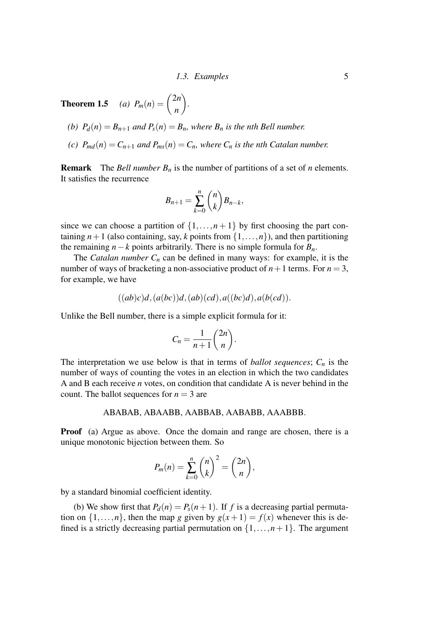**Theorem 1.5** *(a)*  $P_m(n) = \binom{2n}{n}$ *n*  $\setminus$ *.*

- *(b)*  $P_d(n) = B_{n+1}$  *and*  $P_s(n) = B_n$ *, where*  $B_n$  *is the nth Bell number.*
- *(c)*  $P_{md}(n) = C_{n+1}$  *and*  $P_{ms}(n) = C_n$ *, where*  $C_n$  *is the nth Catalan number.*

**Remark** The *Bell number*  $B_n$  is the number of partitions of a set of *n* elements. It satisfies the recurrence

$$
B_{n+1}=\sum_{k=0}^n\binom{n}{k}B_{n-k},
$$

since we can choose a partition of  $\{1, \ldots, n+1\}$  by first choosing the part containing  $n+1$  (also containing, say, *k* points from  $\{1,\ldots,n\}$ ), and then partitioning the remaining *n*−*k* points arbitrarily. There is no simple formula for  $B_n$ .

The *Catalan number*  $C_n$  can be defined in many ways: for example, it is the number of ways of bracketing a non-associative product of  $n+1$  terms. For  $n=3$ , for example, we have

$$
((ab)c)d, (a(bc))d, (ab)(cd), a((bc)d), a(b(cd)).
$$

Unlike the Bell number, there is a simple explicit formula for it:

$$
C_n = \frac{1}{n+1} \binom{2n}{n}.
$$

The interpretation we use below is that in terms of *ballot sequences*;  $C_n$  is the number of ways of counting the votes in an election in which the two candidates A and B each receive *n* votes, on condition that candidate A is never behind in the count. The ballot sequences for  $n = 3$  are

#### ABABAB, ABAABB, AABBAB, AABABB, AAABBB.

Proof (a) Argue as above. Once the domain and range are chosen, there is a unique monotonic bijection between them. So

$$
P_m(n) = \sum_{k=0}^n \binom{n}{k}^2 = \binom{2n}{n},
$$

by a standard binomial coefficient identity.

(b) We show first that  $P_d(n) = P_s(n+1)$ . If *f* is a decreasing partial permutation on  $\{1,\ldots,n\}$ , then the map *g* given by  $g(x+1) = f(x)$  whenever this is defined is a strictly decreasing partial permutation on  $\{1,\ldots,n+1\}$ . The argument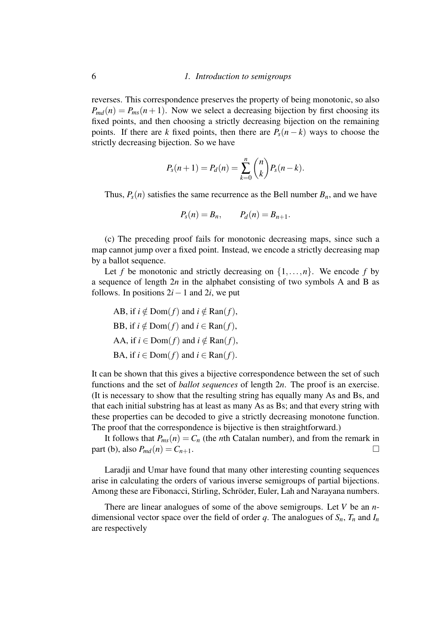reverses. This correspondence preserves the property of being monotonic, so also  $P_{md}(n) = P_{ms}(n+1)$ . Now we select a decreasing bijection by first choosing its fixed points, and then choosing a strictly decreasing bijection on the remaining points. If there are *k* fixed points, then there are  $P_s(n - k)$  ways to choose the strictly decreasing bijection. So we have

$$
P_s(n+1) = P_d(n) = \sum_{k=0}^{n} {n \choose k} P_s(n-k).
$$

Thus,  $P_s(n)$  satisfies the same recurrence as the Bell number  $B_n$ , and we have

$$
P_s(n) = B_n, \qquad P_d(n) = B_{n+1}.
$$

(c) The preceding proof fails for monotonic decreasing maps, since such a map cannot jump over a fixed point. Instead, we encode a strictly decreasing map by a ballot sequence.

Let *f* be monotonic and strictly decreasing on  $\{1, \ldots, n\}$ . We encode *f* by a sequence of length 2*n* in the alphabet consisting of two symbols A and B as follows. In positions  $2i-1$  and  $2i$ , we put

AB, if 
$$
i \notin \text{Dom}(f)
$$
 and  $i \notin \text{Ran}(f)$ ,  
BB, if  $i \notin \text{Dom}(f)$  and  $i \in \text{Ran}(f)$ ,  
AA, if  $i \in \text{Dom}(f)$  and  $i \notin \text{Ran}(f)$ ,  
BA, if  $i \in \text{Dom}(f)$  and  $i \in \text{Ran}(f)$ .

It can be shown that this gives a bijective correspondence between the set of such functions and the set of *ballot sequences* of length 2*n*. The proof is an exercise. (It is necessary to show that the resulting string has equally many As and Bs, and that each initial substring has at least as many As as Bs; and that every string with these properties can be decoded to give a strictly decreasing monotone function. The proof that the correspondence is bijective is then straightforward.)

It follows that  $P_{ms}(n) = C_n$  (the *n*th Catalan number), and from the remark in  $\text{part (b), also } P_{md}(n) = C_{n+1}.$ 

Laradji and Umar have found that many other interesting counting sequences arise in calculating the orders of various inverse semigroups of partial bijections. Among these are Fibonacci, Stirling, Schröder, Euler, Lah and Narayana numbers.

There are linear analogues of some of the above semigroups. Let *V* be an *n*dimensional vector space over the field of order *q*. The analogues of  $S_n$ ,  $T_n$  and  $I_n$ are respectively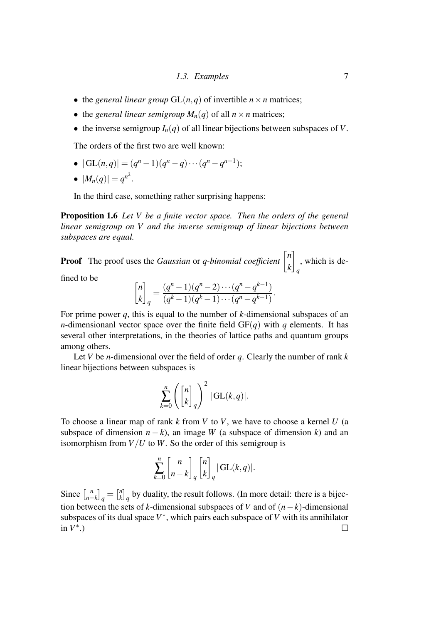- the *general linear group*  $GL(n,q)$  of invertible  $n \times n$  matrices;
- the *general linear semigroup*  $M_n(q)$  of all  $n \times n$  matrices;
- the inverse semigroup  $I_n(q)$  of all linear bijections between subspaces of *V*.

The orders of the first two are well known:

•  $|\mathrm{GL}(n,q)| = (q^n - 1)(q^n - q) \cdots (q^n - q^{n-1});$ 

$$
\bullet \ \ |M_n(q)| = q^{n^2}.
$$

In the third case, something rather surprising happens:

Proposition 1.6 *Let V be a finite vector space. Then the orders of the general linear semigroup on V and the inverse semigroup of linear bijections between subspaces are equal.*

**Proof** The proof uses the *Gaussian* or *q-binomial coefficient*  $\begin{bmatrix} n \\ n \end{bmatrix}$ *k* 1 *q* , which is de-

fined to be

$$
\begin{bmatrix} n \\ k \end{bmatrix}_q = \frac{(q^n - 1)(q^n - 2) \cdots (q^n - q^{k-1})}{(q^k - 1)(q^k - 1) \cdots (q^n - q^{k-1})}.
$$

For prime power *q*, this is equal to the number of *k*-dimensional subspaces of an *n*-dimensionanl vector space over the finite field  $GF(q)$  with *q* elements. It has several other interpretations, in the theories of lattice paths and quantum groups among others.

Let *V* be *n*-dimensional over the field of order *q*. Clearly the number of rank *k* linear bijections between subspaces is

$$
\sum_{k=0}^n \left( \begin{bmatrix} n \\ k \end{bmatrix}_q \right)^2 |\operatorname{GL}(k,q)|.
$$

To choose a linear map of rank *k* from *V* to *V*, we have to choose a kernel *U* (a subspace of dimension  $n - k$ ), an image *W* (a subspace of dimension *k*) and an isomorphism from  $V/U$  to *W*. So the order of this semigroup is

$$
\sum_{k=0}^n \begin{bmatrix} n \\ n-k \end{bmatrix}_q \begin{bmatrix} n \\ k \end{bmatrix}_q |\operatorname{GL}(k,q)|.
$$

Since  $\int_{n-1}^{n}$  $\begin{bmatrix} n \\ n-k \end{bmatrix}$ <sub>q</sub> $= \begin{bmatrix} n \\ k \end{bmatrix}$  $\binom{n}{k}_q$  by duality, the result follows. (In more detail: there is a bijection between the sets of *k*-dimensional subspaces of *V* and of  $(n-k)$ -dimensional subspaces of its dual space  $V^*$ , which pairs each subspace of  $V$  with its annihilator in *V* ∗ .)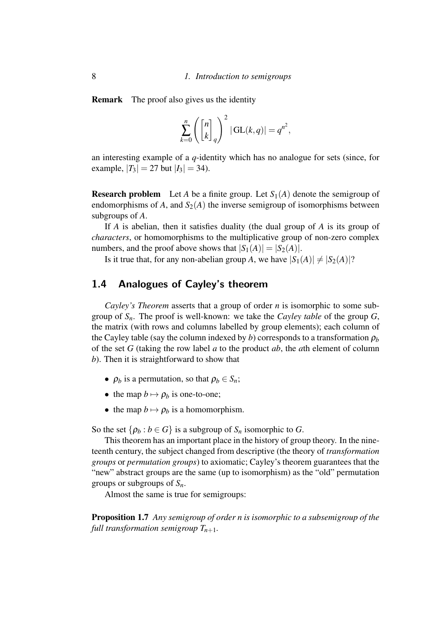Remark The proof also gives us the identity

$$
\sum_{k=0}^{n} \left( \begin{bmatrix} n \\ k \end{bmatrix}_q \right)^2 | \operatorname{GL}(k,q) | = q^{n^2},
$$

an interesting example of a *q*-identity which has no analogue for sets (since, for example,  $|T_3| = 27$  but  $|I_3| = 34$ ).

**Research problem** Let *A* be a finite group. Let  $S_1(A)$  denote the semigroup of endomorphisms of *A*, and  $S_2(A)$  the inverse semigroup of isomorphisms between subgroups of *A*.

If *A* is abelian, then it satisfies duality (the dual group of *A* is its group of *characters*, or homomorphisms to the multiplicative group of non-zero complex numbers, and the proof above shows that  $|S_1(A)| = |S_2(A)|$ .

Is it true that, for any non-abelian group *A*, we have  $|S_1(A)| \neq |S_2(A)|$ ?

### 1.4 Analogues of Cayley's theorem

*Cayley's Theorem* asserts that a group of order *n* is isomorphic to some subgroup of *Sn*. The proof is well-known: we take the *Cayley table* of the group *G*, the matrix (with rows and columns labelled by group elements); each column of the Cayley table (say the column indexed by *b*) corresponds to a transformation  $\rho_b$ of the set *G* (taking the row label *a* to the product *ab*, the *a*th element of column *b*). Then it is straightforward to show that

- $\rho_b$  is a permutation, so that  $\rho_b \in S_n$ ;
- the map  $b \mapsto \rho_b$  is one-to-one;
- the map  $b \mapsto \rho_b$  is a homomorphism.

So the set  $\{\rho_b : b \in G\}$  is a subgroup of  $S_n$  isomorphic to *G*.

This theorem has an important place in the history of group theory. In the nineteenth century, the subject changed from descriptive (the theory of *transformation groups* or *permutation groups*) to axiomatic; Cayley's theorem guarantees that the "new" abstract groups are the same (up to isomorphism) as the "old" permutation groups or subgroups of *Sn*.

Almost the same is true for semigroups:

Proposition 1.7 *Any semigroup of order n is isomorphic to a subsemigroup of the full transformation semigroup*  $T_{n+1}$ *.*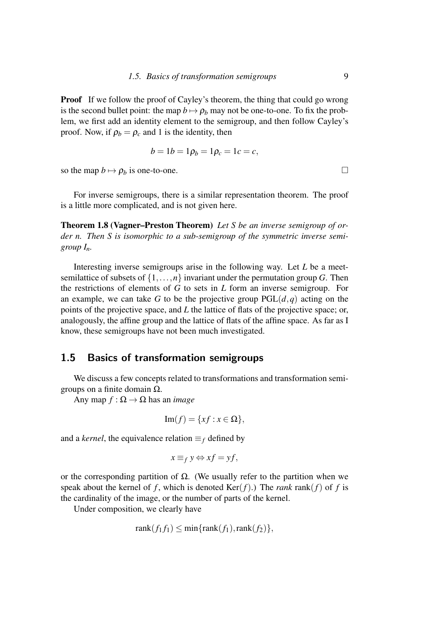**Proof** If we follow the proof of Cayley's theorem, the thing that could go wrong is the second bullet point: the map  $b \mapsto \rho_b$  may not be one-to-one. To fix the problem, we first add an identity element to the semigroup, and then follow Cayley's proof. Now, if  $\rho_b = \rho_c$  and 1 is the identity, then

$$
b = 1b = 1p_b = 1p_c = 1c = c,
$$

so the map  $b \mapsto \rho_b$  is one-to-one.

For inverse semigroups, there is a similar representation theorem. The proof is a little more complicated, and is not given here.

Theorem 1.8 (Vagner–Preston Theorem) *Let S be an inverse semigroup of order n. Then S is isomorphic to a sub-semigroup of the symmetric inverse semigroup*  $I_n$ *.* 

Interesting inverse semigroups arise in the following way. Let *L* be a meetsemilattice of subsets of  $\{1,\ldots,n\}$  invariant under the permutation group *G*. Then the restrictions of elements of *G* to sets in *L* form an inverse semigroup. For an example, we can take *G* to be the projective group  $PGL(d, q)$  acting on the points of the projective space, and *L* the lattice of flats of the projective space; or, analogously, the affine group and the lattice of flats of the affine space. As far as I know, these semigroups have not been much investigated.

### 1.5 Basics of transformation semigroups

We discuss a few concepts related to transformations and transformation semigroups on a finite domain Ω.

Any map  $f : \Omega \to \Omega$  has an *image* 

$$
\mathrm{Im}(f) = \{xf : x \in \Omega\},\
$$

and a *kernel*, the equivalence relation  $\equiv_f$  defined by

$$
x \equiv_f y \Leftrightarrow xf = yf,
$$

or the corresponding partition of Ω. (We usually refer to the partition when we speak about the kernel of *f*, which is denoted  $\text{Ker}(f)$ .) The *rank* rank(*f*) of *f* is the cardinality of the image, or the number of parts of the kernel.

Under composition, we clearly have

$$
rank(f_1f_1) \leq min\{rank(f_1), rank(f_2)\},
$$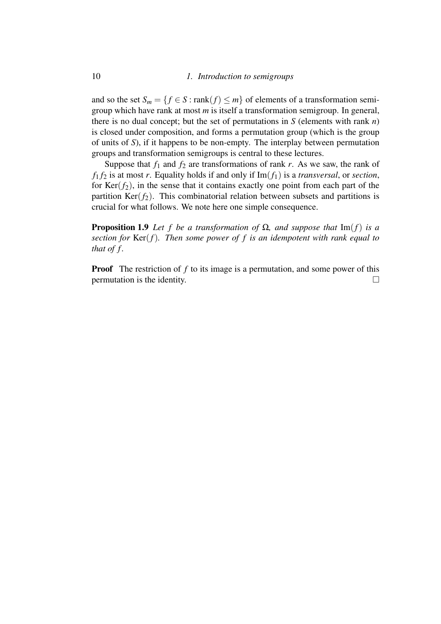and so the set  $S_m = \{f \in S : \text{rank}(f) \leq m\}$  of elements of a transformation semigroup which have rank at most *m* is itself a transformation semigroup. In general, there is no dual concept; but the set of permutations in *S* (elements with rank *n*) is closed under composition, and forms a permutation group (which is the group of units of *S*), if it happens to be non-empty. The interplay between permutation groups and transformation semigroups is central to these lectures.

Suppose that  $f_1$  and  $f_2$  are transformations of rank  $r$ . As we saw, the rank of  $f_1 f_2$  is at most *r*. Equality holds if and only if  $\text{Im}(f_1)$  is a *transversal*, or *section*, for  $Ker(f_2)$ , in the sense that it contains exactly one point from each part of the partition  $Ker(f_2)$ . This combinatorial relation between subsets and partitions is crucial for what follows. We note here one simple consequence.

**Proposition 1.9** *Let f be a transformation of*  $\Omega$ *, and suppose that* Im(*f*) *is a section for* Ker(*f*)*. Then some power of f is an idempotent with rank equal to that of f .*

**Proof** The restriction of f to its image is a permutation, and some power of this permutation is the identity.  $\Box$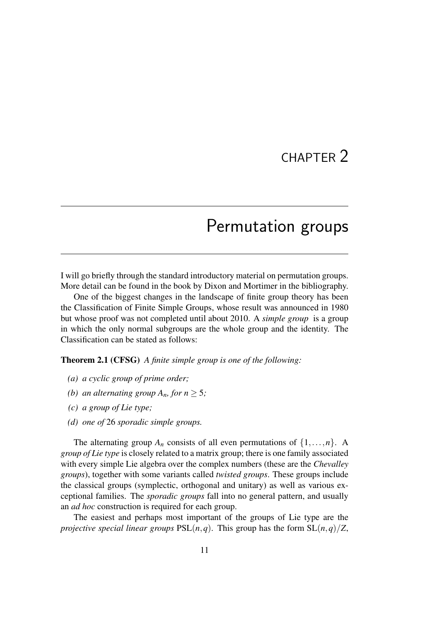## CHAPTER 2

## Permutation groups

I will go briefly through the standard introductory material on permutation groups. More detail can be found in the book by Dixon and Mortimer in the bibliography.

One of the biggest changes in the landscape of finite group theory has been the Classification of Finite Simple Groups, whose result was announced in 1980 but whose proof was not completed until about 2010. A *simple group* is a group in which the only normal subgroups are the whole group and the identity. The Classification can be stated as follows:

Theorem 2.1 (CFSG) *A finite simple group is one of the following:*

- *(a) a cyclic group of prime order;*
- *(b) an alternating group*  $A_n$ *, for*  $n > 5$ *;*
- *(c) a group of Lie type;*
- *(d) one of* 26 *sporadic simple groups.*

The alternating group  $A_n$  consists of all even permutations of  $\{1,\ldots,n\}$ . A *group of Lie type* is closely related to a matrix group; there is one family associated with every simple Lie algebra over the complex numbers (these are the *Chevalley groups*), together with some variants called *twisted groups*. These groups include the classical groups (symplectic, orthogonal and unitary) as well as various exceptional families. The *sporadic groups* fall into no general pattern, and usually an *ad hoc* construction is required for each group.

The easiest and perhaps most important of the groups of Lie type are the *projective special linear groups*  $PSL(n,q)$ . This group has the form  $SL(n,q)/Z$ ,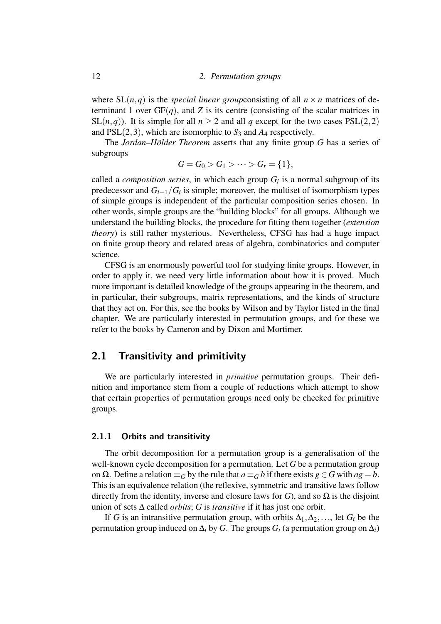where  $SL(n,q)$  is the *special linear group*consisting of all  $n \times n$  matrices of determinant 1 over  $GF(q)$ , and *Z* is its centre (consisting of the scalar matrices in SL(*n*,*q*)). It is simple for all  $n > 2$  and all *q* except for the two cases PSL(2,2) and  $PSL(2,3)$ , which are isomorphic to  $S_3$  and  $A_4$  respectively.

The *Jordan–Hölder Theorem* asserts that any finite group *G* has a series of subgroups

$$
G = G_0 > G_1 > \cdots > G_r = \{1\},\
$$

called a *composition series*, in which each group  $G_i$  is a normal subgroup of its predecessor and *Gi*−1/*G<sup>i</sup>* is simple; moreover, the multiset of isomorphism types of simple groups is independent of the particular composition series chosen. In other words, simple groups are the "building blocks" for all groups. Although we understand the building blocks, the procedure for fitting them together (*extension theory*) is still rather mysterious. Nevertheless, CFSG has had a huge impact on finite group theory and related areas of algebra, combinatorics and computer science.

CFSG is an enormously powerful tool for studying finite groups. However, in order to apply it, we need very little information about how it is proved. Much more important is detailed knowledge of the groups appearing in the theorem, and in particular, their subgroups, matrix representations, and the kinds of structure that they act on. For this, see the books by Wilson and by Taylor listed in the final chapter. We are particularly interested in permutation groups, and for these we refer to the books by Cameron and by Dixon and Mortimer.

## 2.1 Transitivity and primitivity

We are particularly interested in *primitive* permutation groups. Their definition and importance stem from a couple of reductions which attempt to show that certain properties of permutation groups need only be checked for primitive groups.

#### 2.1.1 Orbits and transitivity

The orbit decomposition for a permutation group is a generalisation of the well-known cycle decomposition for a permutation. Let *G* be a permutation group on Ω. Define a relation  $\equiv$ *G* by the rule that *a*  $\equiv$ *G b* if there exists *g* ∈ *G* with *ag* = *b*. This is an equivalence relation (the reflexive, symmetric and transitive laws follow directly from the identity, inverse and closure laws for *G*), and so  $\Omega$  is the disjoint union of sets ∆ called *orbits*; *G* is *transitive* if it has just one orbit.

If *G* is an intransitive permutation group, with orbits  $\Delta_1, \Delta_2, \ldots$ , let  $G_i$  be the permutation group induced on  $\Delta$ *i* by *G*. The groups  $G$ <sup>*i*</sup> (a permutation group on  $\Delta$ *i*)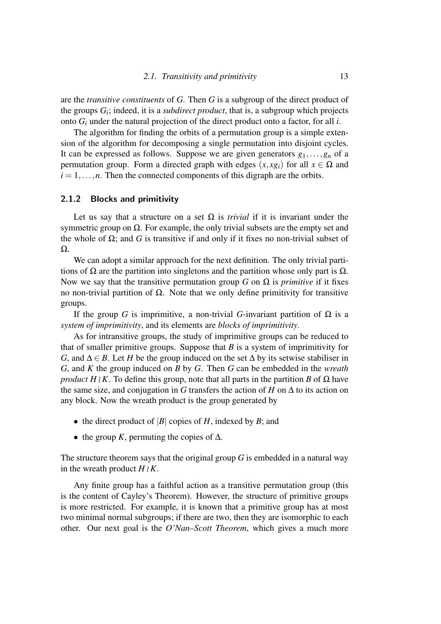are the *transitive constituents* of *G*. Then *G* is a subgroup of the direct product of the groups *G<sup>i</sup>* ; indeed, it is a *subdirect product*, that is, a subgroup which projects onto *G<sup>i</sup>* under the natural projection of the direct product onto a factor, for all *i*.

The algorithm for finding the orbits of a permutation group is a simple extension of the algorithm for decomposing a single permutation into disjoint cycles. It can be expressed as follows. Suppose we are given generators  $g_1, \ldots, g_n$  of a permutation group. Form a directed graph with edges  $(x, xg_i)$  for all  $x \in \Omega$  and  $i = 1, \ldots, n$ . Then the connected components of this digraph are the orbits.

#### 2.1.2 Blocks and primitivity

Let us say that a structure on a set  $\Omega$  is *trivial* if it is invariant under the symmetric group on  $\Omega$ . For example, the only trivial subsets are the empty set and the whole of  $\Omega$ ; and *G* is transitive if and only if it fixes no non-trivial subset of Ω.

We can adopt a similar approach for the next definition. The only trivial partitions of  $\Omega$  are the partition into singletons and the partition whose only part is  $\Omega$ . Now we say that the transitive permutation group *G* on  $\Omega$  is *primitive* if it fixes no non-trivial partition of  $Ω$ . Note that we only define primitivity for transitive groups.

If the group *G* is imprimitive, a non-trivial *G*-invariant partition of  $\Omega$  is a *system of imprimitivity*, and its elements are *blocks of imprimitivity*.

As for intransitive groups, the study of imprimitive groups can be reduced to that of smaller primitive groups. Suppose that  $B$  is a system of imprimitivity for *G*, and  $\Delta \in B$ . Let *H* be the group induced on the set  $\Delta$  by its setwise stabiliser in *G*, and *K* the group induced on *B* by *G*. Then *G* can be embedded in the *wreath product H*  $\setminus$  *K*. To define this group, note that all parts in the partition *B* of  $\Omega$  have the same size, and conjugation in *G* transfers the action of *H* on  $\Delta$  to its action on any block. Now the wreath product is the group generated by

- the direct product of  $|B|$  copies of *H*, indexed by *B*; and
- the group *K*, permuting the copies of  $\Delta$ .

The structure theorem says that the original group *G* is embedded in a natural way in the wreath product  $H \wr K$ .

Any finite group has a faithful action as a transitive permutation group (this is the content of Cayley's Theorem). However, the structure of primitive groups is more restricted. For example, it is known that a primitive group has at most two minimal normal subgroups; if there are two, then they are isomorphic to each other. Our next goal is the *O'Nan–Scott Theorem*, which gives a much more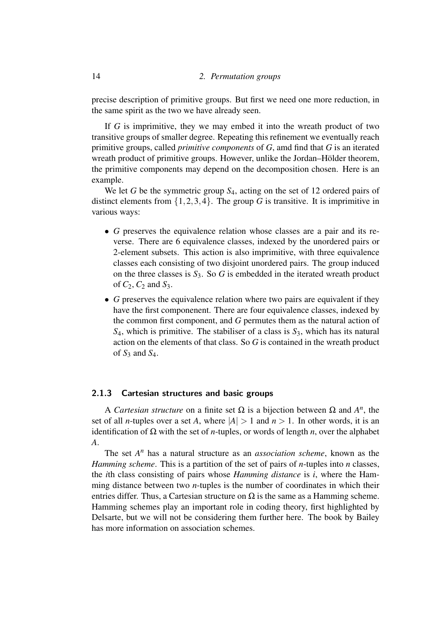precise description of primitive groups. But first we need one more reduction, in the same spirit as the two we have already seen.

If *G* is imprimitive, they we may embed it into the wreath product of two transitive groups of smaller degree. Repeating this refinement we eventually reach primitive groups, called *primitive components* of *G*, amd find that *G* is an iterated wreath product of primitive groups. However, unlike the Jordan–Hölder theorem, the primitive components may depend on the decomposition chosen. Here is an example.

We let *G* be the symmetric group  $S_4$ , acting on the set of 12 ordered pairs of distinct elements from  $\{1,2,3,4\}$ . The group *G* is transitive. It is imprimitive in various ways:

- *G* preserves the equivalence relation whose classes are a pair and its reverse. There are 6 equivalence classes, indexed by the unordered pairs or 2-element subsets. This action is also imprimitive, with three equivalence classes each consisting of two disjoint unordered pairs. The group induced on the three classes is  $S_3$ . So  $G$  is embedded in the iterated wreath product of *C*2, *C*<sup>2</sup> and *S*3.
- *G* preserves the equivalence relation where two pairs are equivalent if they have the first componenent. There are four equivalence classes, indexed by the common first component, and *G* permutes them as the natural action of *S*4, which is primitive. The stabiliser of a class is *S*3, which has its natural action on the elements of that class. So *G* is contained in the wreath product of  $S_3$  and  $S_4$ .

#### 2.1.3 Cartesian structures and basic groups

A *Cartesian structure* on a finite set  $\Omega$  is a bijection between  $\Omega$  and  $A^n$ , the set of all *n*-tuples over a set *A*, where  $|A| > 1$  and  $n > 1$ . In other words, it is an identification of Ω with the set of *n*-tuples, or words of length *n*, over the alphabet *A*.

The set  $A<sup>n</sup>$  has a natural structure as an *association scheme*, known as the *Hamming scheme*. This is a partition of the set of pairs of *n*-tuples into *n* classes, the *i*th class consisting of pairs whose *Hamming distance* is *i*, where the Hamming distance between two *n*-tuples is the number of coordinates in which their entries differ. Thus, a Cartesian structure on  $\Omega$  is the same as a Hamming scheme. Hamming schemes play an important role in coding theory, first highlighted by Delsarte, but we will not be considering them further here. The book by Bailey has more information on association schemes.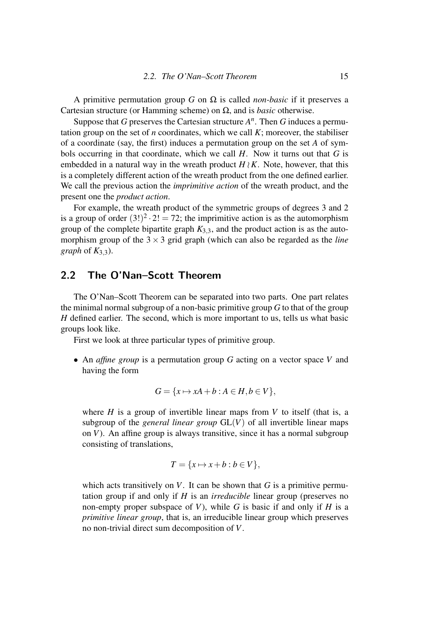A primitive permutation group *G* on  $\Omega$  is called *non-basic* if it preserves a Cartesian structure (or Hamming scheme) on Ω, and is *basic* otherwise.

Suppose that *G* preserves the Cartesian structure  $A<sup>n</sup>$ . Then *G* induces a permutation group on the set of *n* coordinates, which we call *K*; moreover, the stabiliser of a coordinate (say, the first) induces a permutation group on the set *A* of symbols occurring in that coordinate, which we call *H*. Now it turns out that *G* is embedded in a natural way in the wreath product  $H \wr K$ . Note, however, that this is a completely different action of the wreath product from the one defined earlier. We call the previous action the *imprimitive action* of the wreath product, and the present one the *product action*.

For example, the wreath product of the symmetric groups of degrees 3 and 2 is a group of order  $(3!)^2 \cdot 2! = 72$ ; the imprimitive action is as the automorphism group of the complete bipartite graph  $K_{3,3}$ , and the product action is as the automorphism group of the  $3 \times 3$  grid graph (which can also be regarded as the *line graph* of  $K_{3,3}$ ).

### 2.2 The O'Nan–Scott Theorem

The O'Nan–Scott Theorem can be separated into two parts. One part relates the minimal normal subgroup of a non-basic primitive group *G* to that of the group *H* defined earlier. The second, which is more important to us, tells us what basic groups look like.

First we look at three particular types of primitive group.

• An *affine group* is a permutation group *G* acting on a vector space *V* and having the form

$$
G = \{x \mapsto xA + b : A \in H, b \in V\},\
$$

where  $H$  is a group of invertible linear maps from  $V$  to itself (that is, a subgroup of the *general linear group*  $GL(V)$  of all invertible linear maps on *V*). An affine group is always transitive, since it has a normal subgroup consisting of translations,

$$
T = \{x \mapsto x + b : b \in V\},\
$$

which acts transitively on  $V$ . It can be shown that  $G$  is a primitive permutation group if and only if *H* is an *irreducible* linear group (preserves no non-empty proper subspace of *V*), while *G* is basic if and only if *H* is a *primitive linear group*, that is, an irreducible linear group which preserves no non-trivial direct sum decomposition of *V*.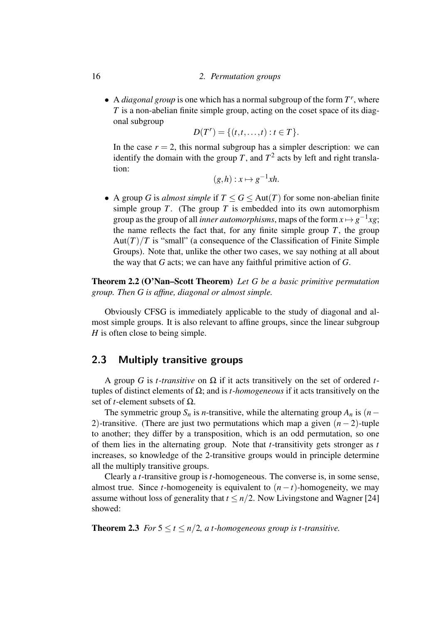#### 16 *2. Permutation groups*

• A *diagonal group* is one which has a normal subgroup of the form *T r* , where *T* is a non-abelian finite simple group, acting on the coset space of its diagonal subgroup

$$
D(T^r) = \{(t,t,\ldots,t) : t \in T\}.
$$

In the case  $r = 2$ , this normal subgroup has a simpler description: we can identify the domain with the group *T*, and  $T^2$  acts by left and right translation:

$$
(g,h): x \mapsto g^{-1}xh.
$$

• A group *G* is *almost simple* if  $T \le G \le Aut(T)$  for some non-abelian finite simple group  $T$ . (The group  $T$  is embedded into its own automorphism group as the group of all *inner automorphisms*, maps of the form  $x \mapsto g^{-1}xg$ ; the name reflects the fact that, for any finite simple group  $T$ , the group Aut $(T)/T$  is "small" (a consequence of the Classification of Finite Simple Groups). Note that, unlike the other two cases, we say nothing at all about the way that *G* acts; we can have any faithful primitive action of *G*.

Theorem 2.2 (O'Nan–Scott Theorem) *Let G be a basic primitive permutation group. Then G is affine, diagonal or almost simple.*

Obviously CFSG is immediately applicable to the study of diagonal and almost simple groups. It is also relevant to affine groups, since the linear subgroup *H* is often close to being simple.

#### 2.3 Multiply transitive groups

A group *G* is *t-transitive* on Ω if it acts transitively on the set of ordered *t*tuples of distinct elements of Ω; and is *t-homogeneous* if it acts transitively on the set of *t*-element subsets of Ω.

The symmetric group  $S_n$  is *n*-transitive, while the alternating group  $A_n$  is (*n*− 2)-transitive. (There are just two permutations which map a given (*n* − 2)-tuple to another; they differ by a transposition, which is an odd permutation, so one of them lies in the alternating group. Note that *t*-transitivity gets stronger as *t* increases, so knowledge of the 2-transitive groups would in principle determine all the multiply transitive groups.

Clearly a *t*-transitive group is *t*-homogeneous. The converse is, in some sense, almost true. Since *t*-homogeneity is equivalent to  $(n - t)$ -homogeneity, we may assume without loss of generality that  $t \leq n/2$ . Now Livingstone and Wagner [24] showed:

**Theorem 2.3** *For*  $5 \le t \le n/2$ , *at*-homogeneous group is *t*-transitive.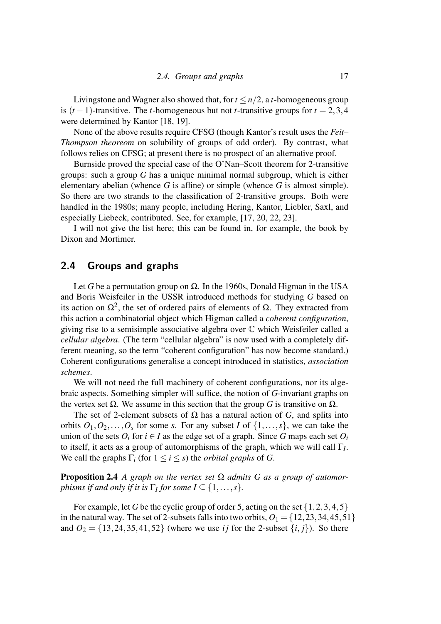Livingstone and Wagner also showed that, for  $t \le n/2$ , a *t*-homogeneous group is  $(t-1)$ -transitive. The *t*-homogeneous but not *t*-transitive groups for  $t = 2, 3, 4$ were determined by Kantor [18, 19].

None of the above results require CFSG (though Kantor's result uses the *Feit– Thompson theoreom* on solubility of groups of odd order). By contrast, what follows relies on CFSG; at present there is no prospect of an alternative proof.

Burnside proved the special case of the O'Nan–Scott theorem for 2-transitive groups: such a group *G* has a unique minimal normal subgroup, which is either elementary abelian (whence *G* is affine) or simple (whence *G* is almost simple). So there are two strands to the classification of 2-transitive groups. Both were handled in the 1980s; many people, including Hering, Kantor, Liebler, Saxl, and especially Liebeck, contributed. See, for example, [17, 20, 22, 23].

I will not give the list here; this can be found in, for example, the book by Dixon and Mortimer.

## 2.4 Groups and graphs

Let *G* be a permutation group on  $\Omega$ . In the 1960s, Donald Higman in the USA and Boris Weisfeiler in the USSR introduced methods for studying *G* based on its action on  $\Omega^2$ , the set of ordered pairs of elements of  $\Omega$ . They extracted from this action a combinatorial object which Higman called a *coherent configuration*, giving rise to a semisimple associative algebra over C which Weisfeiler called a *cellular algebra*. (The term "cellular algebra" is now used with a completely different meaning, so the term "coherent configuration" has now become standard.) Coherent configurations generalise a concept introduced in statistics, *association schemes*.

We will not need the full machinery of coherent configurations, nor its algebraic aspects. Something simpler will suffice, the notion of *G*-invariant graphs on the vertex set  $\Omega$ . We assume in this section that the group *G* is transitive on  $\Omega$ .

The set of 2-element subsets of  $\Omega$  has a natural action of *G*, and splits into orbits  $O_1, O_2, \ldots, O_s$  for some *s*. For any subset *I* of  $\{1, \ldots, s\}$ , we can take the union of the sets  $O_i$  for  $i \in I$  as the edge set of a graph. Since G maps each set  $O_i$ to itself, it acts as a group of automorphisms of the graph, which we will call Γ*<sup>I</sup>* . We call the graphs  $\Gamma_i$  (for  $1 \leq i \leq s$ ) the *orbital graphs* of *G*.

**Proposition 2.4** *A graph on the vertex set*  $\Omega$  *admits G as a group of automorphisms if and only if it is*  $\Gamma_I$  *for some*  $I \subseteq \{1, \ldots, s\}$ *.* 

For example, let *G* be the cyclic group of order 5, acting on the set  $\{1, 2, 3, 4, 5\}$ in the natural way. The set of 2-subsets falls into two orbits,  $O_1 = \{12, 23, 34, 45, 51\}$ and  $O_2 = \{13, 24, 35, 41, 52\}$  (where we use *i j* for the 2-subset  $\{i, j\}$ ). So there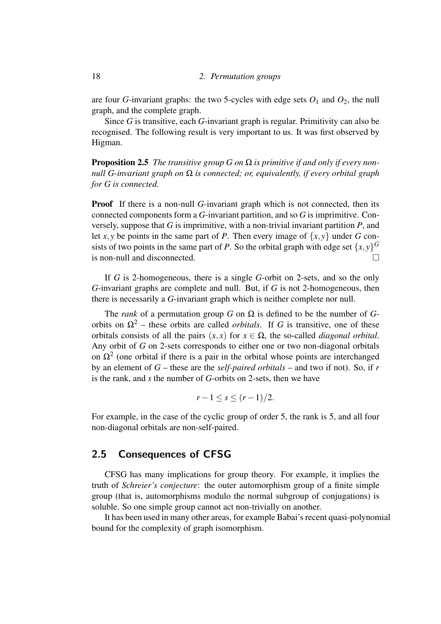are four *G*-invariant graphs: the two 5-cycles with edge sets  $O_1$  and  $O_2$ , the null graph, and the complete graph.

Since *G* is transitive, each *G*-invariant graph is regular. Primitivity can also be recognised. The following result is very important to us. It was first observed by Higman.

Proposition 2.5 *The transitive group G on* Ω *is primitive if and only if every nonnull G-invariant graph on* Ω *is connected; or, equivalently, if every orbital graph for G is connected.*

**Proof** If there is a non-null *G*-invariant graph which is not connected, then its connected components form a *G*-invariant partition, and so *G* is imprimitive. Conversely, suppose that *G* is imprimitive, with a non-trivial invariant partition *P*, and let *x*, *y* be points in the same part of *P*. Then every image of  $\{x, y\}$  under *G* consists of two points in the same part of *P*. So the orbital graph with edge set  $\{x, y\}^G$ is non-null and disconnected.

If *G* is 2-homogeneous, there is a single *G*-orbit on 2-sets, and so the only *G*-invariant graphs are complete and null. But, if *G* is not 2-homogeneous, then there is necessarily a *G*-invariant graph which is neither complete nor null.

The *rank* of a permutation group *G* on  $\Omega$  is defined to be the number of *G*orbits on  $Ω<sup>2</sup>$  – these orbits are called *orbitals*. If *G* is transitive, one of these orbitals consists of all the pairs  $(x, x)$  for  $x \in \Omega$ , the so-called *diagonal orbital*. Any orbit of *G* on 2-sets corresponds to either one or two non-diagonal orbitals on  $\Omega^2$  (one orbital if there is a pair in the orbital whose points are interchanged by an element of *G* – these are the *self-paired orbitals* – and two if not). So, if *r* is the rank, and *s* the number of *G*-orbits on 2-sets, then we have

$$
r-1 \leq s \leq (r-1)/2.
$$

For example, in the case of the cyclic group of order 5, the rank is 5, and all four non-diagonal orbitals are non-self-paired.

### 2.5 Consequences of CFSG

CFSG has many implications for group theory. For example, it implies the truth of *Schreier's conjecture*: the outer automorphism group of a finite simple group (that is, automorphisms modulo the normal subgroup of conjugations) is soluble. So one simple group cannot act non-trivially on another.

It has been used in many other areas, for example Babai's recent quasi-polynomial bound for the complexity of graph isomorphism.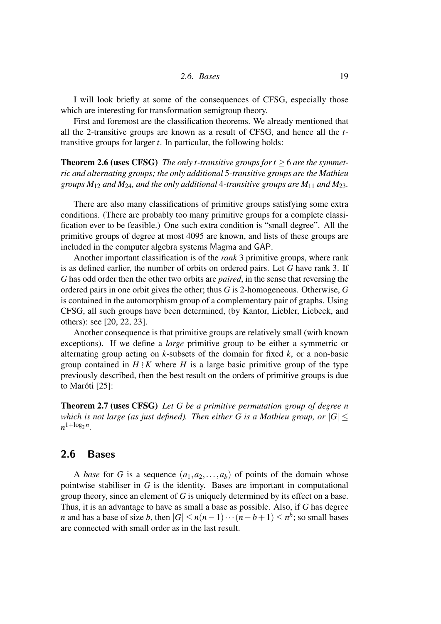$$
2.6. \; \textit{Bases} \qquad \qquad 19
$$

I will look briefly at some of the consequences of CFSG, especially those which are interesting for transformation semigroup theory.

First and foremost are the classification theorems. We already mentioned that all the 2-transitive groups are known as a result of CFSG, and hence all the *t*transitive groups for larger *t*. In particular, the following holds:

Theorem 2.6 (uses CFSG) *The only t-transitive groups for t* ≥ 6 *are the symmetric and alternating groups; the only additional* 5*-transitive groups are the Mathieu groups M*<sup>12</sup> *and M*24*, and the only additional* 4*-transitive groups are M*<sup>11</sup> *and M*23*.*

There are also many classifications of primitive groups satisfying some extra conditions. (There are probably too many primitive groups for a complete classification ever to be feasible.) One such extra condition is "small degree". All the primitive groups of degree at most 4095 are known, and lists of these groups are included in the computer algebra systems Magma and GAP.

Another important classification is of the *rank* 3 primitive groups, where rank is as defined earlier, the number of orbits on ordered pairs. Let *G* have rank 3. If *G* has odd order then the other two orbits are *paired*, in the sense that reversing the ordered pairs in one orbit gives the other; thus *G* is 2-homogeneous. Otherwise, *G* is contained in the automorphism group of a complementary pair of graphs. Using CFSG, all such groups have been determined, (by Kantor, Liebler, Liebeck, and others): see [20, 22, 23].

Another consequence is that primitive groups are relatively small (with known exceptions). If we define a *large* primitive group to be either a symmetric or alternating group acting on *k*-subsets of the domain for fixed *k*, or a non-basic group contained in  $H \wr K$  where *H* is a large basic primitive group of the type previously described, then the best result on the orders of primitive groups is due to Maróti [25]:

Theorem 2.7 (uses CFSG) *Let G be a primitive permutation group of degree n which is not large (as just defined). Then either G is a Mathieu group, or*  $|G| \le$  $n^{1 + \log_2 n}$ .

## 2.6 Bases

A *base* for *G* is a sequence  $(a_1, a_2, \ldots, a_b)$  of points of the domain whose pointwise stabiliser in *G* is the identity. Bases are important in computational group theory, since an element of *G* is uniquely determined by its effect on a base. Thus, it is an advantage to have as small a base as possible. Also, if *G* has degree *n* and has a base of size *b*, then  $|G| \le n(n-1)\cdots(n-b+1) \le n^b$ ; so small bases are connected with small order as in the last result.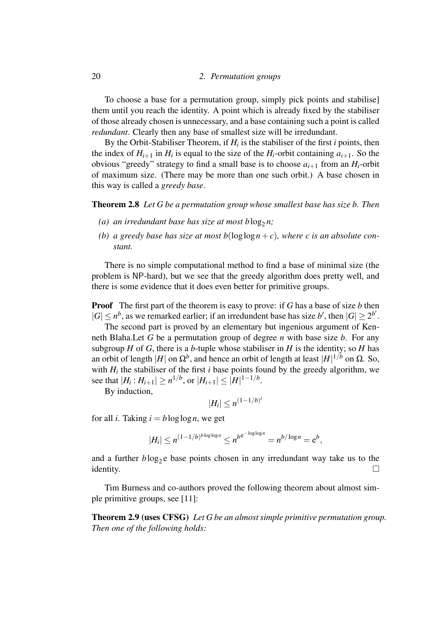#### 20 *2. Permutation groups*

To choose a base for a permutation group, simply pick points and stabilise] them until you reach the identity. A point which is already fixed by the stabiliser of those already chosen is unnecessary, and a base containing such a point is called *redundant*. Clearly then any base of smallest size will be irredundant.

By the Orbit-Stabiliser Theorem, if  $H_i$  is the stabiliser of the first *i* points, then the index of  $H_{i+1}$  in  $H_i$  is equal to the size of the  $H_i$ -orbit containing  $a_{i+1}$ . So the obvious "greedy" strategy to find a small base is to choose  $a_{i+1}$  from an  $H_i$ -orbit of maximum size. (There may be more than one such orbit.) A base chosen in this way is called a *greedy base*.

Theorem 2.8 *Let G be a permutation group whose smallest base has size b. Then*

- (a) an irredundant base has size at most blog<sub>2</sub>n;
- (b) a greedy base has size at most  $b(\log \log n + c)$ , where c is an absolute con*stant.*

There is no simple computational method to find a base of minimal size (the problem is NP-hard), but we see that the greedy algorithm does pretty well, and there is some evidence that it does even better for primitive groups.

Proof The first part of the theorem is easy to prove: if *G* has a base of size *b* then  $|G| \leq n^b$ , as we remarked earlier; if an irredundent base has size *b'*, then  $|G| \geq 2^{b'}$ .

The second part is proved by an elementary but ingenious argument of Kenneth Blaha.Let *G* be a permutation group of degree *n* with base size *b*. For any subgroup  $H$  of  $G$ , there is a  $b$ -tuple whose stabiliser in  $H$  is the identity; so  $H$  has an orbit of length  $|H|$  on  $\Omega^b$ , and hence an orbit of length at least  $|H|^{1/b}$  on  $\Omega$ . So, with  $H_i$  the stabiliser of the first  $i$  base points found by the greedy algorithm, we see that  $|H_i: H_{i+1}| \geq n^{1/b}$ , or  $|H_{i+1}| \leq |H|^{1-1/b}$ .

By induction,

$$
|H_i| \leq n^{(1-1/b)^i}
$$

for all *i*. Taking  $i = b \log \log n$ , we get

$$
|H_i| \le n^{(1-1/b)^{b \log \log n}} \le n^{b e^{-\log \log n}} = n^{b/\log n} = e^b,
$$

and a further  $b \log_2 e$  base points chosen in any irredundant way take us to the identity.  $\Box$ 

Tim Burness and co-authors proved the following theorem about almost simple primitive groups, see [11]:

Theorem 2.9 (uses CFSG) *Let G be an almost simple primitive permutation group. Then one of the following holds:*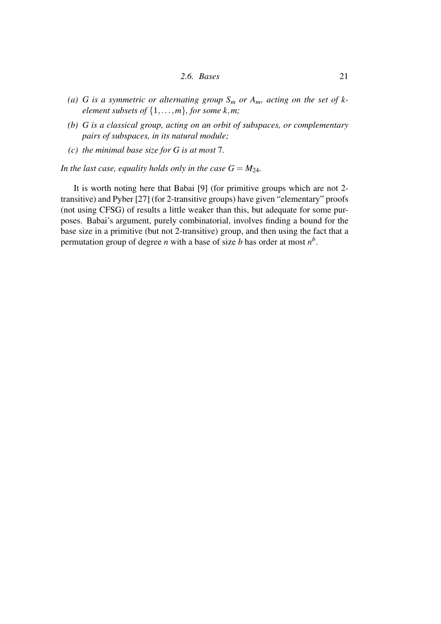- *2.6. Bases* 21
- (a) G is a symmetric or alternating group  $S_m$  or  $A_m$ , acting on the set of k*element subsets of*  $\{1, \ldots, m\}$ *, for some k,m;*
- *(b) G is a classical group, acting on an orbit of subspaces, or complementary pairs of subspaces, in its natural module;*
- *(c) the minimal base size for G is at most* 7*.*

*In the last case, equality holds only in the case*  $G = M_{24}$ *.* 

It is worth noting here that Babai [9] (for primitive groups which are not 2 transitive) and Pyber [27] (for 2-transitive groups) have given "elementary" proofs (not using CFSG) of results a little weaker than this, but adequate for some purposes. Babai's argument, purely combinatorial, involves finding a bound for the base size in a primitive (but not 2-transitive) group, and then using the fact that a permutation group of degree *n* with a base of size *b* has order at most *n b* .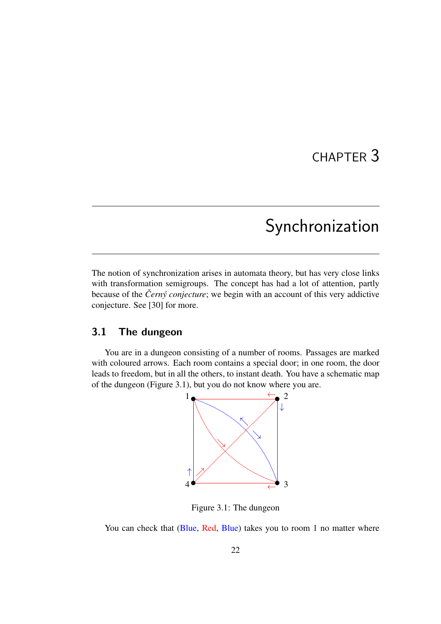## CHAPTER 3

## Synchronization

The notion of synchronization arises in automata theory, but has very close links with transformation semigroups. The concept has had a lot of attention, partly because of the *Černý conjecture*; we begin with an account of this very addictive conjecture. See [30] for more.

## 3.1 The dungeon

You are in a dungeon consisting of a number of rooms. Passages are marked with coloured arrows. Each room contains a special door; in one room, the door leads to freedom, but in all the others, to instant death. You have a schematic map of the dungeon (Figure 3.1), but you do not know where you are.



Figure 3.1: The dungeon

You can check that (Blue, Red, Blue) takes you to room 1 no matter where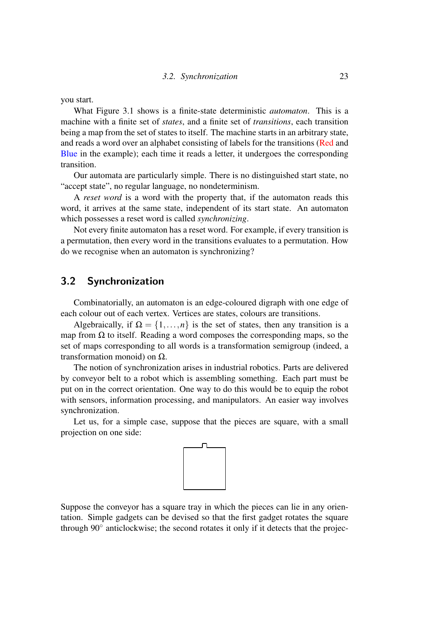you start.

What Figure 3.1 shows is a finite-state deterministic *automaton*. This is a machine with a finite set of *states*, and a finite set of *transitions*, each transition being a map from the set of states to itself. The machine starts in an arbitrary state, and reads a word over an alphabet consisting of labels for the transitions (Red and Blue in the example); each time it reads a letter, it undergoes the corresponding transition.

Our automata are particularly simple. There is no distinguished start state, no "accept state", no regular language, no nondeterminism.

A *reset word* is a word with the property that, if the automaton reads this word, it arrives at the same state, independent of its start state. An automaton which possesses a reset word is called *synchronizing*.

Not every finite automaton has a reset word. For example, if every transition is a permutation, then every word in the transitions evaluates to a permutation. How do we recognise when an automaton is synchronizing?

## 3.2 Synchronization

Combinatorially, an automaton is an edge-coloured digraph with one edge of each colour out of each vertex. Vertices are states, colours are transitions.

Algebraically, if  $\Omega = \{1, ..., n\}$  is the set of states, then any transition is a map from  $\Omega$  to itself. Reading a word composes the corresponding maps, so the set of maps corresponding to all words is a transformation semigroup (indeed, a transformation monoid) on Ω.

The notion of synchronization arises in industrial robotics. Parts are delivered by conveyor belt to a robot which is assembling something. Each part must be put on in the correct orientation. One way to do this would be to equip the robot with sensors, information processing, and manipulators. An easier way involves synchronization.

Let us, for a simple case, suppose that the pieces are square, with a small projection on one side:



Suppose the conveyor has a square tray in which the pieces can lie in any orientation. Simple gadgets can be devised so that the first gadget rotates the square through 90° anticlockwise; the second rotates it only if it detects that the projec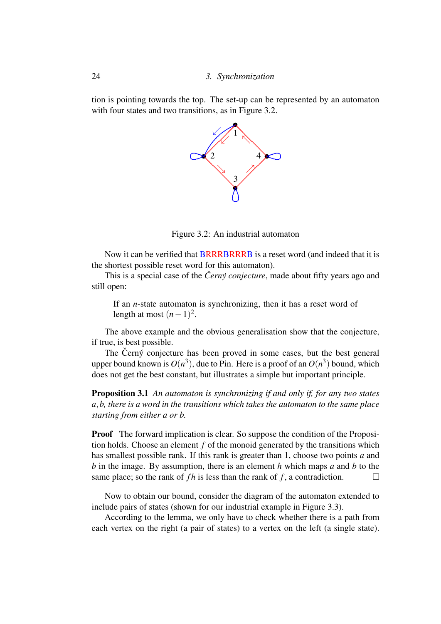tion is pointing towards the top. The set-up can be represented by an automaton with four states and two transitions, as in Figure 3.2.



Figure 3.2: An industrial automaton

Now it can be verified that BRRRBRRRB is a reset word (and indeed that it is the shortest possible reset word for this automaton).

This is a special case of the *Černý conjecture*, made about fifty years ago and still open:

If an *n*-state automaton is synchronizing, then it has a reset word of length at most  $(n-1)^2$ .

The above example and the obvious generalisation show that the conjecture, if true, is best possible.

The Černý conjecture has been proved in some cases, but the best general upper bound known is  $O(n^3)$ , due to Pin. Here is a proof of an  $O(n^3)$  bound, which does not get the best constant, but illustrates a simple but important principle.

Proposition 3.1 *An automaton is synchronizing if and only if, for any two states a*,*b, there is a word in the transitions which takes the automaton to the same place starting from either a or b.*

Proof The forward implication is clear. So suppose the condition of the Proposition holds. Choose an element *f* of the monoid generated by the transitions which has smallest possible rank. If this rank is greater than 1, choose two points *a* and *b* in the image. By assumption, there is an element *h* which maps *a* and *b* to the same place; so the rank of *fh* is less than the rank of *f*, a contradiction.

Now to obtain our bound, consider the diagram of the automaton extended to include pairs of states (shown for our industrial example in Figure 3.3).

According to the lemma, we only have to check whether there is a path from each vertex on the right (a pair of states) to a vertex on the left (a single state).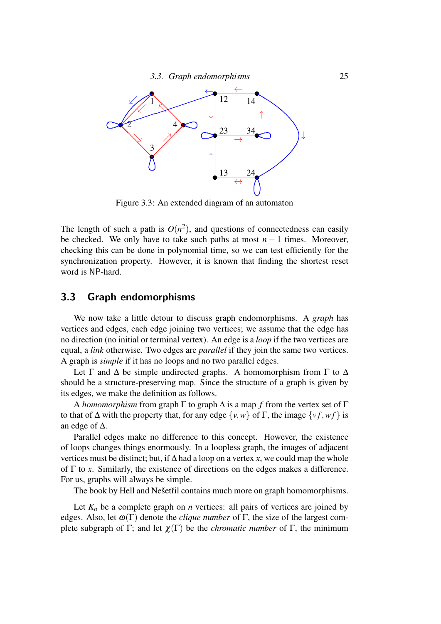

Figure 3.3: An extended diagram of an automaton

The length of such a path is  $O(n^2)$ , and questions of connectedness can easily be checked. We only have to take such paths at most  $n-1$  times. Moreover, checking this can be done in polynomial time, so we can test efficiently for the synchronization property. However, it is known that finding the shortest reset word is NP-hard.

## 3.3 Graph endomorphisms

We now take a little detour to discuss graph endomorphisms. A *graph* has vertices and edges, each edge joining two vertices; we assume that the edge has no direction (no initial or terminal vertex). An edge is a *loop* if the two vertices are equal, a *link* otherwise. Two edges are *parallel* if they join the same two vertices. A graph is *simple* if it has no loops and no two parallel edges.

Let  $\Gamma$  and  $\Delta$  be simple undirected graphs. A homomorphism from  $\Gamma$  to  $\Delta$ should be a structure-preserving map. Since the structure of a graph is given by its edges, we make the definition as follows.

A *homomorphism* from graph Γ to graph ∆ is a map *f* from the vertex set of Γ to that of  $\Delta$  with the property that, for any edge  $\{v, w\}$  of  $\Gamma$ , the image  $\{vf, wf\}$  is an edge of ∆.

Parallel edges make no difference to this concept. However, the existence of loops changes things enormously. In a loopless graph, the images of adjacent vertices must be distinct; but, if ∆ had a loop on a vertex *x*, we could map the whole of Γ to *x*. Similarly, the existence of directions on the edges makes a difference. For us, graphs will always be simple.

The book by Hell and Nešetřil contains much more on graph homomorphisms.

Let  $K_n$  be a complete graph on *n* vertices: all pairs of vertices are joined by edges. Also, let  $\omega(\Gamma)$  denote the *clique number* of  $\Gamma$ , the size of the largest complete subgraph of Γ; and let  $\chi(\Gamma)$  be the *chromatic number* of Γ, the minimum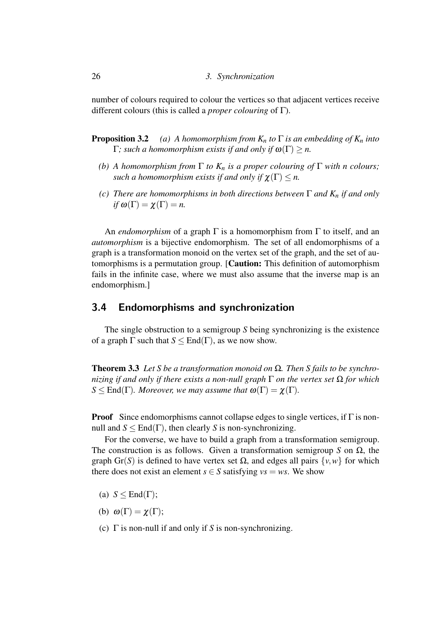number of colours required to colour the vertices so that adjacent vertices receive different colours (this is called a *proper colouring* of Γ).

- **Proposition 3.2** *(a) A homomorphism from*  $K_n$  *to*  $\Gamma$  *is an embedding of*  $K_n$  *into*  $Γ$ *; such a homomorphism exists if and only if*  $ω(Γ) ≥ n$ .
	- *(b) A homomorphism from*  $\Gamma$  *to*  $K_n$  *is a proper colouring of*  $\Gamma$  *with n colours; such a homomorphism exists if and only if*  $\chi(\Gamma) \leq n$ .
	- *(c) There are homomorphisms in both directions between* Γ *and K<sup>n</sup> if and only if*  $\omega(\Gamma) = \chi(\Gamma) = n$ .

An *endomorphism* of a graph Γ is a homomorphism from Γ to itself, and an *automorphism* is a bijective endomorphism. The set of all endomorphisms of a graph is a transformation monoid on the vertex set of the graph, and the set of automorphisms is a permutation group. [Caution: This definition of automorphism fails in the infinite case, where we must also assume that the inverse map is an endomorphism.]

#### 3.4 Endomorphisms and synchronization

The single obstruction to a semigroup *S* being synchronizing is the existence of a graph  $\Gamma$  such that  $S \leq \text{End}(\Gamma)$ , as we now show.

Theorem 3.3 *Let S be a transformation monoid on* Ω*. Then S fails to be synchronizing if and only if there exists a non-null graph* Γ *on the vertex set* Ω *for which*  $S \leq End(\Gamma)$ *. Moreover, we may assume that*  $\omega(\Gamma) = \chi(\Gamma)$ *.* 

**Proof** Since endomorphisms cannot collapse edges to single vertices, if  $\Gamma$  is nonnull and  $S \leq End(\Gamma)$ , then clearly *S* is non-synchronizing.

For the converse, we have to build a graph from a transformation semigroup. The construction is as follows. Given a transformation semigroup *S* on Ω, the graph Gr(*S*) is defined to have vertex set  $\Omega$ , and edges all pairs  $\{v, w\}$  for which there does not exist an element  $s \in S$  satisfying  $vs = ws$ . We show

- (a)  $S \leq End(\Gamma);$
- (b)  $\omega(\Gamma) = \chi(\Gamma)$ ;
- (c) Γ is non-null if and only if *S* is non-synchronizing.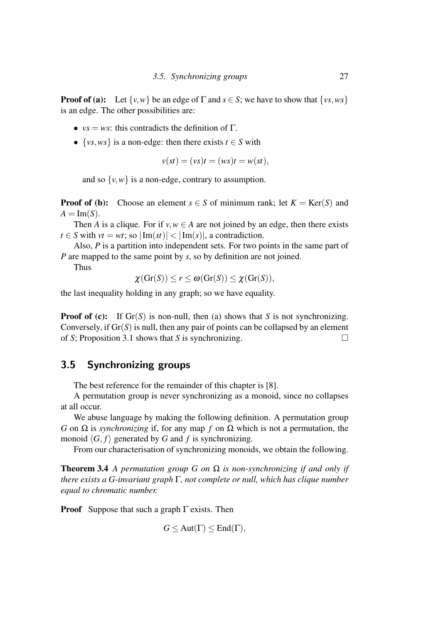**Proof of (a):** Let  $\{v, w\}$  be an edge of  $\Gamma$  and  $s \in S$ ; we have to show that  $\{vs, ws\}$ is an edge. The other possibilities are:

- $vs = ws$ : this contradicts the definition of  $\Gamma$ .
- $\{vs, ws\}$  is a non-edge: then there exists  $t \in S$  with

$$
v(st) = (vs)t = (ws)t = w(st),
$$

and so  $\{v, w\}$  is a non-edge, contrary to assumption.

**Proof of (b):** Choose an element  $s \in S$  of minimum rank; let  $K = \text{Ker}(S)$  and  $A = \text{Im}(S)$ .

Then *A* is a clique. For if  $v, w \in A$  are not joined by an edge, then there exists *t*  $\in$  *S* with *vt* = *wt*; so  $|\text{Im}(st)| < |\text{Im}(s)|$ , a contradiction.

Also, *P* is a partition into independent sets. For two points in the same part of *P* are mapped to the same point by *s*, so by definition are not joined.

Thus

$$
\chi(\mathrm{Gr}(S))\leq r\leq \omega(\mathrm{Gr}(S))\leq \chi(\mathrm{Gr}(S)),
$$

the last inequality holding in any graph; so we have equality.

**Proof of (c):** If  $Gr(S)$  is non-null, then (a) shows that *S* is not synchronizing. Conversely, if  $Gr(S)$  is null, then any pair of points can be collapsed by an element of *S*; Proposition 3.1 shows that *S* is synchronizing.

## 3.5 Synchronizing groups

The best reference for the remainder of this chapter is [8].

A permutation group is never synchronizing as a monoid, since no collapses at all occur.

We abuse language by making the following definition. A permutation group *G* on Ω is *synchronizing* if, for any map *f* on Ω which is not a permutation, the monoid  $\langle G, f \rangle$  generated by *G* and *f* is synchronizing.

From our characterisation of synchronizing monoids, we obtain the following.

Theorem 3.4 *A permutation group G on* Ω *is non-synchronizing if and only if there exists a G-invariant graph* Γ*, not complete or null, which has clique number equal to chromatic number.*

**Proof** Suppose that such a graph  $\Gamma$  exists. Then

$$
G \le \text{Aut}(\Gamma) \le \text{End}(\Gamma),
$$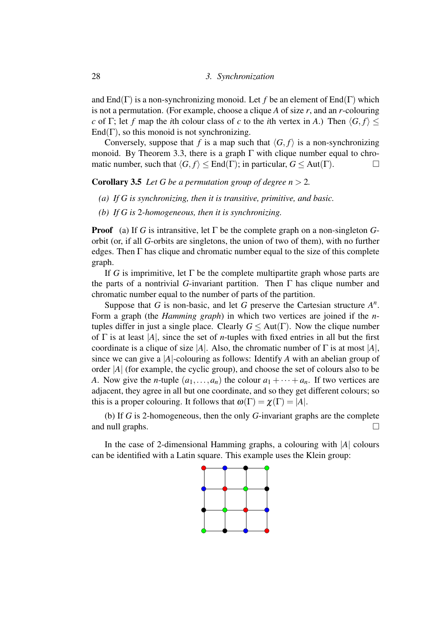and End( $\Gamma$ ) is a non-synchronizing monoid. Let f be an element of End( $\Gamma$ ) which is not a permutation. (For example, choose a clique *A* of size *r*, and an *r*-colouring *c* of Γ; let *f* map the *i*th colour class of *c* to the *i*th vertex in *A*.) Then  $\langle G, f \rangle$  <  $\text{End}(\Gamma)$ , so this monoid is not synchronizing.

Conversely, suppose that *f* is a map such that  $\langle G, f \rangle$  is a non-synchronizing monoid. By Theorem 3.3, there is a graph  $\Gamma$  with clique number equal to chromatic number, such that  $\langle G, f \rangle \le \text{End}(\Gamma)$ ; in particular,  $G \le \text{Aut}(\Gamma)$ .

**Corollary 3.5** *Let G be a permutation group of degree*  $n > 2$ *.* 

- *(a) If G is synchronizing, then it is transitive, primitive, and basic.*
- *(b) If G is* 2*-homogeneous, then it is synchronizing.*

**Proof** (a) If *G* is intransitive, let  $\Gamma$  be the complete graph on a non-singleton *G*orbit (or, if all *G*-orbits are singletons, the union of two of them), with no further edges. Then  $\Gamma$  has clique and chromatic number equal to the size of this complete graph.

If *G* is imprimitive, let  $\Gamma$  be the complete multipartite graph whose parts are the parts of a nontrivial *G*-invariant partition. Then Γ has clique number and chromatic number equal to the number of parts of the partition.

Suppose that  $G$  is non-basic, and let  $G$  preserve the Cartesian structure  $A^n$ . Form a graph (the *Hamming graph*) in which two vertices are joined if the *n*tuples differ in just a single place. Clearly  $G \leq Aut(\Gamma)$ . Now the clique number of Γ is at least |*A*|, since the set of *n*-tuples with fixed entries in all but the first coordinate is a clique of size  $|A|$ . Also, the chromatic number of  $\Gamma$  is at most  $|A|$ , since we can give a |*A*|-colouring as follows: Identify *A* with an abelian group of order |*A*| (for example, the cyclic group), and choose the set of colours also to be *A*. Now give the *n*-tuple  $(a_1, \ldots, a_n)$  the colour  $a_1 + \cdots + a_n$ . If two vertices are adjacent, they agree in all but one coordinate, and so they get different colours; so this is a proper colouring. It follows that  $\omega(\Gamma) = \chi(\Gamma) = |A|$ .

(b) If *G* is 2-homogeneous, then the only *G*-invariant graphs are the complete and null graphs.  $\Box$ 

In the case of 2-dimensional Hamming graphs, a colouring with |*A*| colours can be identified with a Latin square. This example uses the Klein group:

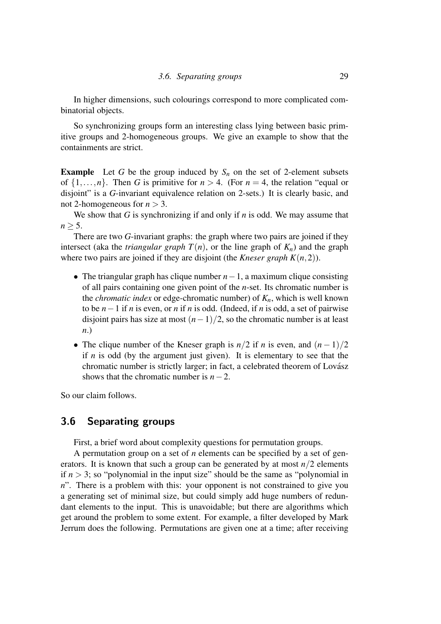In higher dimensions, such colourings correspond to more complicated combinatorial objects.

So synchronizing groups form an interesting class lying between basic primitive groups and 2-homogeneous groups. We give an example to show that the containments are strict.

**Example** Let *G* be the group induced by  $S_n$  on the set of 2-element subsets of  $\{1,\ldots,n\}$ . Then *G* is primitive for  $n > 4$ . (For  $n = 4$ , the relation "equal or disjoint" is a *G*-invariant equivalence relation on 2-sets.) It is clearly basic, and not 2-homogeneous for  $n > 3$ .

We show that *G* is synchronizing if and only if *n* is odd. We may assume that  $n > 5$ .

There are two *G*-invariant graphs: the graph where two pairs are joined if they intersect (aka the *triangular graph*  $T(n)$ , or the line graph of  $K_n$ ) and the graph where two pairs are joined if they are disjoint (the *Kneser graph K* $(n,2)$ ).

- The triangular graph has clique number *n*−1, a maximum clique consisting of all pairs containing one given point of the *n*-set. Its chromatic number is the *chromatic index* or edge-chromatic number) of *Kn*, which is well known to be *n*−1 if *n* is even, or *n* if *n* is odd. (Indeed, if *n* is odd, a set of pairwise disjoint pairs has size at most  $(n-1)/2$ , so the chromatic number is at least *n*.)
- The clique number of the Kneser graph is  $n/2$  if *n* is even, and  $(n-1)/2$ if *n* is odd (by the argument just given). It is elementary to see that the chromatic number is strictly larger; in fact, a celebrated theorem of Lovász shows that the chromatic number is *n*−2.

So our claim follows.

### 3.6 Separating groups

First, a brief word about complexity questions for permutation groups.

A permutation group on a set of *n* elements can be specified by a set of generators. It is known that such a group can be generated by at most  $n/2$  elements if  $n > 3$ ; so "polynomial in the input size" should be the same as "polynomial in *n*". There is a problem with this: your opponent is not constrained to give you a generating set of minimal size, but could simply add huge numbers of redundant elements to the input. This is unavoidable; but there are algorithms which get around the problem to some extent. For example, a filter developed by Mark Jerrum does the following. Permutations are given one at a time; after receiving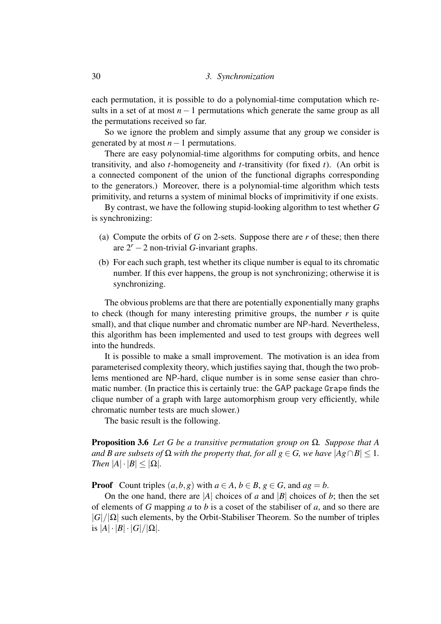each permutation, it is possible to do a polynomial-time computation which results in a set of at most *n*−1 permutations which generate the same group as all the permutations received so far.

So we ignore the problem and simply assume that any group we consider is generated by at most *n*−1 permutations.

There are easy polynomial-time algorithms for computing orbits, and hence transitivity, and also *t*-homogeneity and *t*-transitivity (for fixed *t*). (An orbit is a connected component of the union of the functional digraphs corresponding to the generators.) Moreover, there is a polynomial-time algorithm which tests primitivity, and returns a system of minimal blocks of imprimitivity if one exists.

By contrast, we have the following stupid-looking algorithm to test whether *G* is synchronizing:

- (a) Compute the orbits of *G* on 2-sets. Suppose there are *r* of these; then there are  $2^r - 2$  non-trivial *G*-invariant graphs.
- (b) For each such graph, test whether its clique number is equal to its chromatic number. If this ever happens, the group is not synchronizing; otherwise it is synchronizing.

The obvious problems are that there are potentially exponentially many graphs to check (though for many interesting primitive groups, the number  $r$  is quite small), and that clique number and chromatic number are NP-hard. Nevertheless, this algorithm has been implemented and used to test groups with degrees well into the hundreds.

It is possible to make a small improvement. The motivation is an idea from parameterised complexity theory, which justifies saying that, though the two problems mentioned are NP-hard, clique number is in some sense easier than chromatic number. (In practice this is certainly true: the GAP package Grape finds the clique number of a graph with large automorphism group very efficiently, while chromatic number tests are much slower.)

The basic result is the following.

Proposition 3.6 *Let G be a transitive permutation group on* Ω*. Suppose that A and B are subsets of*  $\Omega$  *with the property that, for all g*  $\in$  *G, we have*  $|Ag \cap B|$  < 1*. Then*  $|A| \cdot |B| \leq |\Omega|$ *.* 

**Proof** Count triples  $(a, b, g)$  with  $a \in A, b \in B, g \in G$ , and  $ag = b$ .

On the one hand, there are  $|A|$  choices of *a* and  $|B|$  choices of *b*; then the set of elements of *G* mapping *a* to *b* is a coset of the stabiliser of *a*, and so there are  $|G|/|\Omega|$  such elements, by the Orbit-Stabiliser Theorem. So the number of triples is  $|A|\cdot|B|\cdot|G|/|\Omega|$ .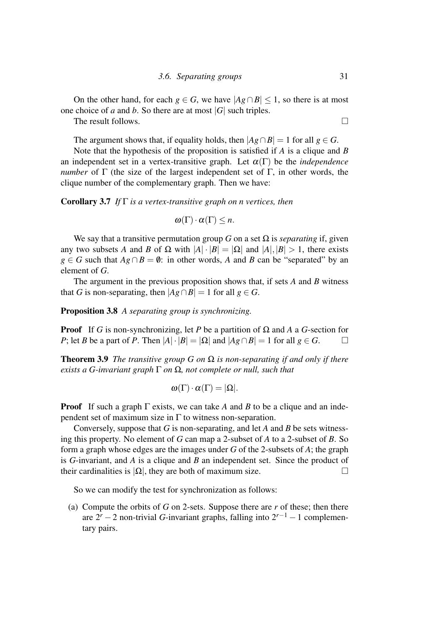On the other hand, for each  $g \in G$ , we have  $|Ag \cap B| \le 1$ , so there is at most one choice of *a* and *b*. So there are at most |*G*| such triples.

The result follows  $\square$ 

The argument shows that, if equality holds, then  $|Ag \cap B| = 1$  for all  $g \in G$ .

Note that the hypothesis of the proposition is satisfied if *A* is a clique and *B* an independent set in a vertex-transitive graph. Let  $\alpha(\Gamma)$  be the *independence number* of  $\Gamma$  (the size of the largest independent set of  $\Gamma$ , in other words, the clique number of the complementary graph. Then we have:

Corollary 3.7 *If* Γ *is a vertex-transitive graph on n vertices, then*

$$
\omega(\Gamma)\cdot\alpha(\Gamma)\leq n.
$$

We say that a transitive permutation group *G* on a set  $\Omega$  is *separating* if, given any two subsets *A* and *B* of  $\Omega$  with  $|A| \cdot |B| = |\Omega|$  and  $|A|, |B| > 1$ , there exists *g* ∈ *G* such that  $Ag ∩ B = ∅$ : in other words, *A* and *B* can be "separated" by an element of *G*.

The argument in the previous proposition shows that, if sets *A* and *B* witness that *G* is non-separating, then  $|Ag \cap B| = 1$  for all  $g \in G$ .

Proposition 3.8 *A separating group is synchronizing.*

**Proof** If *G* is non-synchronizing, let *P* be a partition of  $\Omega$  and *A* a *G*-section for *P*; let *B* be a part of *P*. Then  $|A| \cdot |B| = |\Omega|$  and  $|Ag \cap B| = 1$  for all  $g \in G$ .

Theorem 3.9 *The transitive group G on* Ω *is non-separating if and only if there exists a G-invariant graph* Γ *on* Ω*, not complete or null, such that*

$$
\omega(\Gamma) \cdot \alpha(\Gamma) = |\Omega|.
$$

**Proof** If such a graph  $\Gamma$  exists, we can take A and B to be a clique and an independent set of maximum size in  $\Gamma$  to witness non-separation.

Conversely, suppose that *G* is non-separating, and let *A* and *B* be sets witnessing this property. No element of *G* can map a 2-subset of *A* to a 2-subset of *B*. So form a graph whose edges are the images under *G* of the 2-subsets of *A*; the graph is *G*-invariant, and *A* is a clique and *B* an independent set. Since the product of their cardinalities is  $|\Omega|$ , they are both of maximum size.

So we can modify the test for synchronization as follows:

(a) Compute the orbits of *G* on 2-sets. Suppose there are *r* of these; then there are  $2^r - 2$  non-trivial *G*-invariant graphs, falling into  $2^{r-1} - 1$  complementary pairs.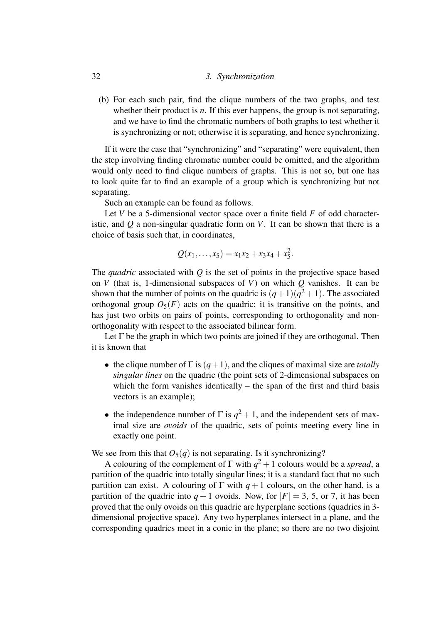#### 32 *3. Synchronization*

(b) For each such pair, find the clique numbers of the two graphs, and test whether their product is *n*. If this ever happens, the group is not separating, and we have to find the chromatic numbers of both graphs to test whether it is synchronizing or not; otherwise it is separating, and hence synchronizing.

If it were the case that "synchronizing" and "separating" were equivalent, then the step involving finding chromatic number could be omitted, and the algorithm would only need to find clique numbers of graphs. This is not so, but one has to look quite far to find an example of a group which is synchronizing but not separating.

Such an example can be found as follows.

Let *V* be a 5-dimensional vector space over a finite field *F* of odd characteristic, and *Q* a non-singular quadratic form on *V*. It can be shown that there is a choice of basis such that, in coordinates,

$$
Q(x_1,\ldots,x_5)=x_1x_2+x_3x_4+x_5^2.
$$

The *quadric* associated with *Q* is the set of points in the projective space based on *V* (that is, 1-dimensional subspaces of *V*) on which *Q* vanishes. It can be shown that the number of points on the quadric is  $(q+1)(q^2+1)$ . The associated orthogonal group  $O_5(F)$  acts on the quadric; it is transitive on the points, and has just two orbits on pairs of points, corresponding to orthogonality and nonorthogonality with respect to the associated bilinear form.

Let  $\Gamma$  be the graph in which two points are joined if they are orthogonal. Then it is known that

- the clique number of  $\Gamma$  is  $(q+1)$ , and the cliques of maximal size are *totally singular lines* on the quadric (the point sets of 2-dimensional subspaces on which the form vanishes identically  $-$  the span of the first and third basis vectors is an example);
- the independence number of  $\Gamma$  is  $q^2 + 1$ , and the independent sets of maximal size are *ovoids* of the quadric, sets of points meeting every line in exactly one point.

We see from this that  $O_5(q)$  is not separating. Is it synchronizing?

A colouring of the complement of  $\Gamma$  with  $q^2 + 1$  colours would be a *spread*, a partition of the quadric into totally singular lines; it is a standard fact that no such partition can exist. A colouring of  $\Gamma$  with  $q+1$  colours, on the other hand, is a partition of the quadric into  $q+1$  ovoids. Now, for  $|F|=3$ , 5, or 7, it has been proved that the only ovoids on this quadric are hyperplane sections (quadrics in 3 dimensional projective space). Any two hyperplanes intersect in a plane, and the corresponding quadrics meet in a conic in the plane; so there are no two disjoint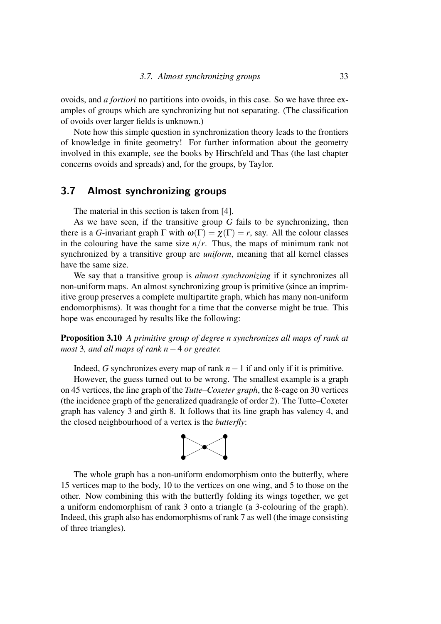ovoids, and *a fortiori* no partitions into ovoids, in this case. So we have three examples of groups which are synchronizing but not separating. (The classification of ovoids over larger fields is unknown.)

Note how this simple question in synchronization theory leads to the frontiers of knowledge in finite geometry! For further information about the geometry involved in this example, see the books by Hirschfeld and Thas (the last chapter concerns ovoids and spreads) and, for the groups, by Taylor.

## 3.7 Almost synchronizing groups

The material in this section is taken from [4].

As we have seen, if the transitive group *G* fails to be synchronizing, then there is a *G*-invariant graph  $\Gamma$  with  $\omega(\Gamma) = \chi(\Gamma) = r$ , say. All the colour classes in the colouring have the same size  $n/r$ . Thus, the maps of minimum rank not synchronized by a transitive group are *uniform*, meaning that all kernel classes have the same size.

We say that a transitive group is *almost synchronizing* if it synchronizes all non-uniform maps. An almost synchronizing group is primitive (since an imprimitive group preserves a complete multipartite graph, which has many non-uniform endomorphisms). It was thought for a time that the converse might be true. This hope was encouraged by results like the following:

Proposition 3.10 *A primitive group of degree n synchronizes all maps of rank at most* 3*, and all maps of rank n*−4 *or greater.*

Indeed, *G* synchronizes every map of rank *n*−1 if and only if it is primitive.

However, the guess turned out to be wrong. The smallest example is a graph on 45 vertices, the line graph of the *Tutte–Coxeter graph*, the 8-cage on 30 vertices (the incidence graph of the generalized quadrangle of order 2). The Tutte–Coxeter graph has valency 3 and girth 8. It follows that its line graph has valency 4, and the closed neighbourhood of a vertex is the *butterfly*:



The whole graph has a non-uniform endomorphism onto the butterfly, where 15 vertices map to the body, 10 to the vertices on one wing, and 5 to those on the other. Now combining this with the butterfly folding its wings together, we get a uniform endomorphism of rank 3 onto a triangle (a 3-colouring of the graph). Indeed, this graph also has endomorphisms of rank 7 as well (the image consisting of three triangles).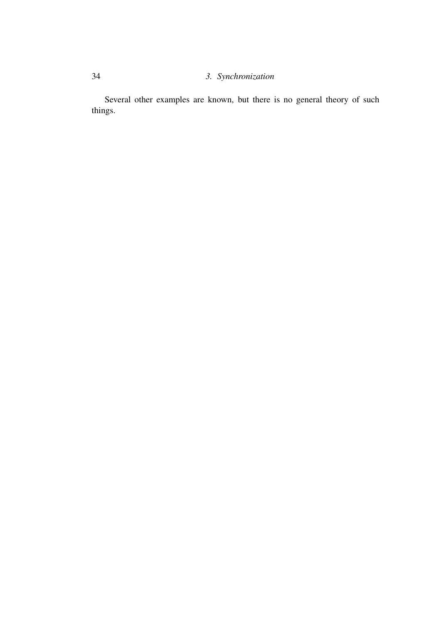## 34 *3. Synchronization*

Several other examples are known, but there is no general theory of such things.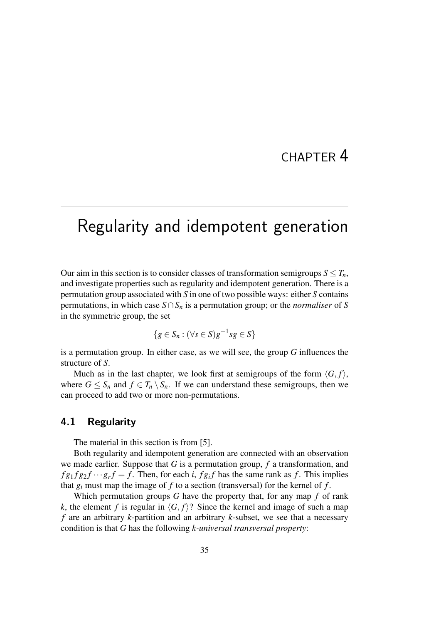## CHAPTER 4

# Regularity and idempotent generation

Our aim in this section is to consider classes of transformation semigroups  $S \leq T_n$ , and investigate properties such as regularity and idempotent generation. There is a permutation group associated with *S* in one of two possible ways: either *S* contains permutations, in which case *S*∩*S<sup>n</sup>* is a permutation group; or the *normaliser* of *S* in the symmetric group, the set

$$
\{g \in S_n : (\forall s \in S)g^{-1}sg \in S\}
$$

is a permutation group. In either case, as we will see, the group *G* influences the structure of *S*.

Much as in the last chapter, we look first at semigroups of the form  $\langle G, f \rangle$ , where  $G \leq S_n$  and  $f \in T_n \setminus S_n$ . If we can understand these semigroups, then we can proceed to add two or more non-permutations.

## 4.1 Regularity

The material in this section is from [5].

Both regularity and idempotent generation are connected with an observation we made earlier. Suppose that *G* is a permutation group, *f* a transformation, and  $f g_1 f g_2 f \cdots g_r f = f$ . Then, for each *i*,  $f g_i f$  has the same rank as f. This implies that  $g_i$  must map the image of  $f$  to a section (transversal) for the kernel of  $f$ .

Which permutation groups *G* have the property that, for any map *f* of rank *k*, the element *f* is regular in  $\langle G, f \rangle$ ? Since the kernel and image of such a map *f* are an arbitrary *k*-partition and an arbitrary *k*-subset, we see that a necessary condition is that *G* has the following *k-universal transversal property*: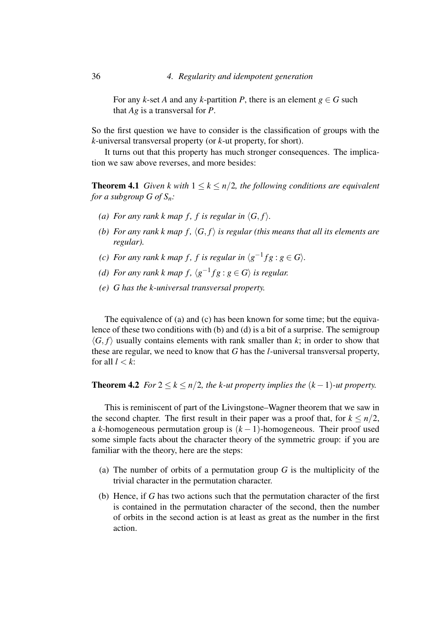For any *k*-set *A* and any *k*-partition *P*, there is an element  $g \in G$  such that *Ag* is a transversal for *P*.

So the first question we have to consider is the classification of groups with the *k*-universal transversal property (or *k*-ut property, for short).

It turns out that this property has much stronger consequences. The implication we saw above reverses, and more besides:

**Theorem 4.1** *Given k with*  $1 \leq k \leq n/2$ *, the following conditions are equivalent for a subgroup G of Sn:*

- *(a) For any rank k map f, f is regular in*  $\langle G, f \rangle$ *.*
- *(b)* For any rank k map  $f$ ,  $\langle G, f \rangle$  is regular (this means that all its elements are *regular).*
- *(c)* For any rank k map f, f is regular in  $\langle g^{-1}fg : g \in G \rangle$ .
- *(d)* For any rank k map  $f$ ,  $\langle g^{-1}fg : g \in G \rangle$  is regular.
- *(e) G has the k-universal transversal property.*

The equivalence of (a) and (c) has been known for some time; but the equivalence of these two conditions with (b) and (d) is a bit of a surprise. The semigroup  $\langle G, f \rangle$  usually contains elements with rank smaller than *k*; in order to show that these are regular, we need to know that *G* has the *l*-universal transversal property, for all  $l < k$ :

#### **Theorem 4.2** *For*  $2 \le k \le n/2$ , *the k-ut property implies the*  $(k-1)$ *-ut property.*

This is reminiscent of part of the Livingstone–Wagner theorem that we saw in the second chapter. The first result in their paper was a proof that, for  $k \leq n/2$ , a *k*-homogeneous permutation group is (*k* − 1)-homogeneous. Their proof used some simple facts about the character theory of the symmetric group: if you are familiar with the theory, here are the steps:

- (a) The number of orbits of a permutation group *G* is the multiplicity of the trivial character in the permutation character.
- (b) Hence, if *G* has two actions such that the permutation character of the first is contained in the permutation character of the second, then the number of orbits in the second action is at least as great as the number in the first action.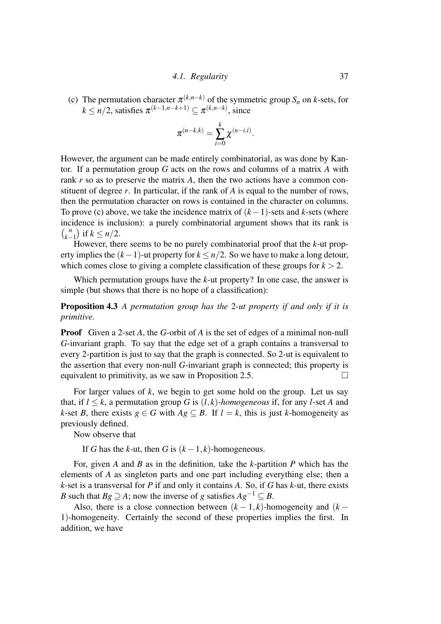(c) The permutation character  $\pi^{(k,n-k)}$  of the symmetric group  $S_n$  on *k*-sets, for  $k \leq n/2$ , satisfies  $\pi^{(k-1,n-k+1)} \subseteq \pi^{(k,n-k)}$ , since

$$
\pi^{(n-k,k)} = \sum_{i=0}^k \chi^{(n-i,i)}.
$$

However, the argument can be made entirely combinatorial, as was done by Kantor. If a permutation group *G* acts on the rows and columns of a matrix *A* with rank *r* so as to preserve the matrix *A*, then the two actions have a common constituent of degree *r*. In particular, if the rank of *A* is equal to the number of rows, then the permutation character on rows is contained in the character on columns. To prove (c) above, we take the incidence matrix of (*k*−1)-sets and *k*-sets (where incidence is inclusion): a purely combinatorial argument shows that its rank is  $\binom{n}{k}$  $\binom{n}{k-1}$  if  $k \leq n/2$ .

However, there seems to be no purely combinatorial proof that the *k*-ut property implies the (*k*−1)-ut property for *k* ≤ *n*/2. So we have to make a long detour, which comes close to giving a complete classification of these groups for  $k > 2$ .

Which permutation groups have the *k*-ut property? In one case, the answer is simple (but shows that there is no hope of a classification):

Proposition 4.3 *A permutation group has the* 2*-ut property if and only if it is primitive.*

Proof Given a 2-set *A*, the *G*-orbit of *A* is the set of edges of a minimal non-null *G*-invariant graph. To say that the edge set of a graph contains a transversal to every 2-partition is just to say that the graph is connected. So 2-ut is equivalent to the assertion that every non-null *G*-invariant graph is connected; this property is equivalent to primitivity, as we saw in Proposition 2.5.

For larger values of *k*, we begin to get some hold on the group. Let us say that, if  $l \leq k$ , a permutation group G is  $(l, k)$ *-homogeneous* if, for any *l*-set A and *k*-set *B*, there exists  $g \in G$  with  $Ag \subseteq B$ . If  $l = k$ , this is just *k*-homogeneity as previously defined.

Now observe that

If *G* has the *k*-ut, then *G* is  $(k-1, k)$ -homogeneous.

For, given *A* and *B* as in the definition, take the *k*-partition *P* which has the elements of *A* as singleton parts and one part including everything else; then a *k*-set is a transversal for *P* if and only it contains *A*. So, if *G* has *k*-ut, there exists *B* such that *Bg*  $\supseteq$  *A*; now the inverse of *g* satisfies  $Ag^{-1} \subseteq B$ .

Also, there is a close connection between  $(k-1, k)$ -homogeneity and  $(k-1, k)$ 1)-homogeneity. Certainly the second of these properties implies the first. In addition, we have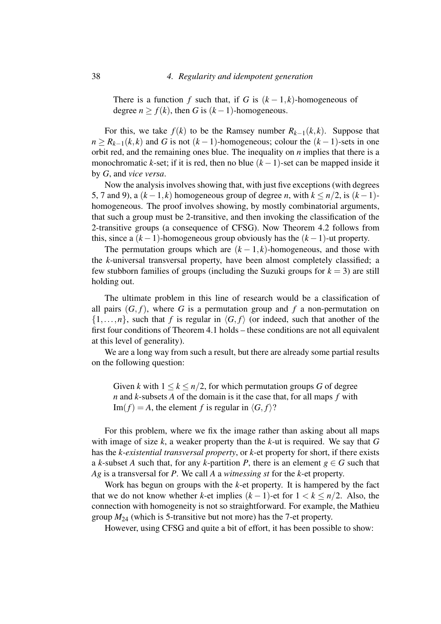There is a function *f* such that, if *G* is  $(k-1, k)$ -homogeneous of degree  $n > f(k)$ , then *G* is  $(k-1)$ -homogeneous.

For this, we take  $f(k)$  to be the Ramsey number  $R_{k-1}(k, k)$ . Suppose that  $n \ge R_{k-1}(k,k)$  and *G* is not  $(k-1)$ -homogeneous; colour the  $(k-1)$ -sets in one orbit red, and the remaining ones blue. The inequality on *n* implies that there is a monochromatic *k*-set; if it is red, then no blue  $(k-1)$ -set can be mapped inside it by *G*, and *vice versa*.

Now the analysis involves showing that, with just five exceptions (with degrees 5, 7 and 9), a  $(k-1,k)$  homogeneous group of degree *n*, with  $k \leq n/2$ , is  $(k-1)$ homogeneous. The proof involves showing, by mostly combinatorial arguments, that such a group must be 2-transitive, and then invoking the classification of the 2-transitive groups (a consequence of CFSG). Now Theorem 4.2 follows from this, since a  $(k-1)$ -homogeneous group obviously has the  $(k-1)$ -ut property.

The permutation groups which are  $(k-1, k)$ -homogeneous, and those with the *k*-universal transversal property, have been almost completely classified; a few stubborn families of groups (including the Suzuki groups for  $k = 3$ ) are still holding out.

The ultimate problem in this line of research would be a classification of all pairs  $(G, f)$ , where G is a permutation group and f a non-permutation on  $\{1,\ldots,n\}$ , such that *f* is regular in  $\langle G, f \rangle$  (or indeed, such that another of the first four conditions of Theorem 4.1 holds – these conditions are not all equivalent at this level of generality).

We are a long way from such a result, but there are already some partial results on the following question:

Given *k* with  $1 \leq k \leq n/2$ , for which permutation groups *G* of degree *n* and *k*-subsets *A* of the domain is it the case that, for all maps *f* with  $Im(f) = A$ , the element *f* is regular in  $\langle G, f \rangle$ ?

For this problem, where we fix the image rather than asking about all maps with image of size *k*, a weaker property than the *k*-ut is required. We say that *G* has the *k-existential transversal property*, or *k*-et property for short, if there exists a *k*-subset *A* such that, for any *k*-partition *P*, there is an element  $g \in G$  such that *Ag* is a transversal for *P*. We call *A* a *witnessing st* for the *k*-et property.

Work has begun on groups with the *k*-et property. It is hampered by the fact that we do not know whether *k*-et implies  $(k-1)$ -et for  $1 < k < n/2$ . Also, the connection with homogeneity is not so straightforward. For example, the Mathieu group  $M_{24}$  (which is 5-transitive but not more) has the 7-et property.

However, using CFSG and quite a bit of effort, it has been possible to show: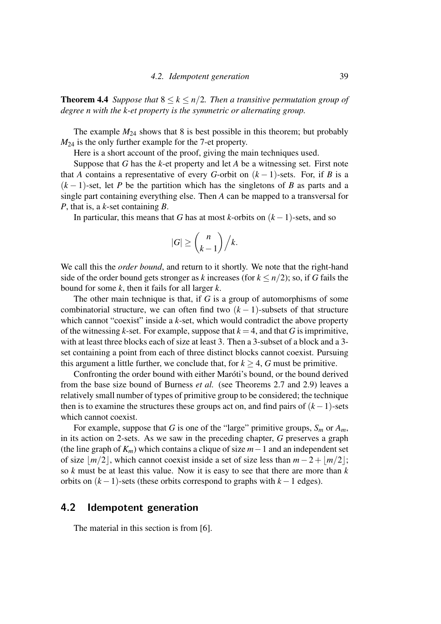Theorem 4.4 *Suppose that* 8 ≤ *k* ≤ *n*/2*. Then a transitive permutation group of degree n with the k-et property is the symmetric or alternating group.*

The example  $M_{24}$  shows that 8 is best possible in this theorem; but probably *M*<sup>24</sup> is the only further example for the 7-et property.

Here is a short account of the proof, giving the main techniques used.

Suppose that *G* has the *k*-et property and let *A* be a witnessing set. First note that *A* contains a representative of every *G*-orbit on  $(k-1)$ -sets. For, if *B* is a  $(k-1)$ -set, let *P* be the partition which has the singletons of *B* as parts and a single part containing everything else. Then *A* can be mapped to a transversal for *P*, that is, a *k*-set containing *B*.

In particular, this means that *G* has at most *k*-orbits on  $(k-1)$ -sets, and so

$$
|G| \geq {n \choose k-1} / k.
$$

We call this the *order bound*, and return to it shortly. We note that the right-hand side of the order bound gets stronger as *k* increases (for  $k \leq n/2$ ); so, if *G* fails the bound for some *k*, then it fails for all larger *k*.

The other main technique is that, if *G* is a group of automorphisms of some combinatorial structure, we can often find two  $(k-1)$ -subsets of that structure which cannot "coexist" inside a *k*-set, which would contradict the above property of the witnessing *k*-set. For example, suppose that  $k = 4$ , and that *G* is imprimitive, with at least three blocks each of size at least 3. Then a 3-subset of a block and a 3 set containing a point from each of three distinct blocks cannot coexist. Pursuing this argument a little further, we conclude that, for  $k > 4$ , G must be primitive.

Confronting the order bound with either Maróti's bound, or the bound derived from the base size bound of Burness *et al.* (see Theorems 2.7 and 2.9) leaves a relatively small number of types of primitive group to be considered; the technique then is to examine the structures these groups act on, and find pairs of (*k*−1)-sets which cannot coexist.

For example, suppose that *G* is one of the "large" primitive groups,  $S_m$  or  $A_m$ , in its action on 2-sets. As we saw in the preceding chapter, *G* preserves a graph (the line graph of *Km*) which contains a clique of size *m*−1 and an independent set of size  $\frac{m}{2}$ , which cannot coexist inside a set of size less than  $m-2+\frac{m}{2}$ ; so *k* must be at least this value. Now it is easy to see that there are more than *k* orbits on  $(k-1)$ -sets (these orbits correspond to graphs with  $k-1$  edges).

## 4.2 Idempotent generation

The material in this section is from [6].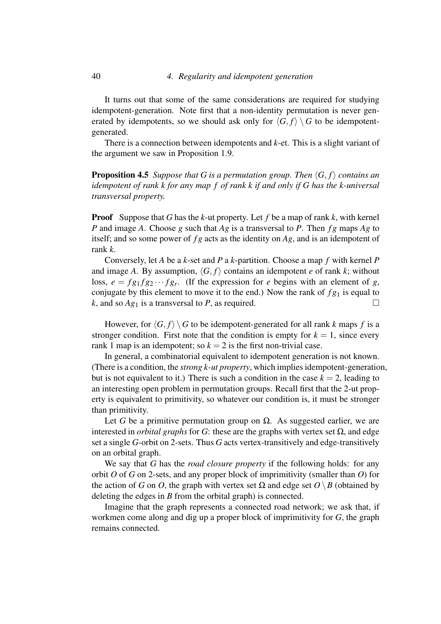It turns out that some of the same considerations are required for studying idempotent-generation. Note first that a non-identity permutation is never generated by idempotents, so we should ask only for  $\langle G, f \rangle \setminus G$  to be idempotentgenerated.

There is a connection between idempotents and *k*-et. This is a slight variant of the argument we saw in Proposition 1.9.

**Proposition 4.5** *Suppose that G is a permutation group. Then*  $\langle G, f \rangle$  *contains an idempotent of rank k for any map f of rank k if and only if G has the k-universal transversal property.*

Proof Suppose that *G* has the *k*-ut property. Let *f* be a map of rank *k*, with kernel *P* and image *A*. Choose *g* such that *Ag* is a transversal to *P*. Then *f g* maps *Ag* to itself; and so some power of *f g* acts as the identity on *Ag*, and is an idempotent of rank *k*.

Conversely, let *A* be a *k*-set and *P* a *k*-partition. Choose a map *f* with kernel *P* and image *A*. By assumption,  $\langle G, f \rangle$  contains an idempotent *e* of rank *k*; without loss,  $e = fg_1fg_2 \cdots fg_r$ . (If the expression for *e* begins with an element of *g*, conjugate by this element to move it to the end.) Now the rank of  $fg_1$  is equal to *k*, and so  $Ag_1$  is a transversal to *P*, as required.

However, for  $\langle G, f \rangle \setminus G$  to be idempotent-generated for all rank *k* maps *f* is a stronger condition. First note that the condition is empty for  $k = 1$ , since every rank 1 map is an idempotent; so  $k = 2$  is the first non-trivial case.

In general, a combinatorial equivalent to idempotent generation is not known. (There is a condition, the *strong k-ut property*, which implies idempotent-generation, but is not equivalent to it.) There is such a condition in the case  $k = 2$ , leading to an interesting open problem in permutation groups. Recall first that the 2-ut property is equivalent to primitivity, so whatever our condition is, it must be stronger than primitivity.

Let *G* be a primitive permutation group on  $\Omega$ . As suggested earlier, we are interested in *orbital graphs* for *G*: these are the graphs with vertex set  $Ω$ , and edge set a single *G*-orbit on 2-sets. Thus *G* acts vertex-transitively and edge-transitively on an orbital graph.

We say that *G* has the *road closure property* if the following holds: for any orbit *O* of *G* on 2-sets, and any proper block of imprimitivity (smaller than *O*) for the action of *G* on *O*, the graph with vertex set  $\Omega$  and edge set *O* \ *B* (obtained by deleting the edges in *B* from the orbital graph) is connected.

Imagine that the graph represents a connected road network; we ask that, if workmen come along and dig up a proper block of imprimitivity for *G*, the graph remains connected.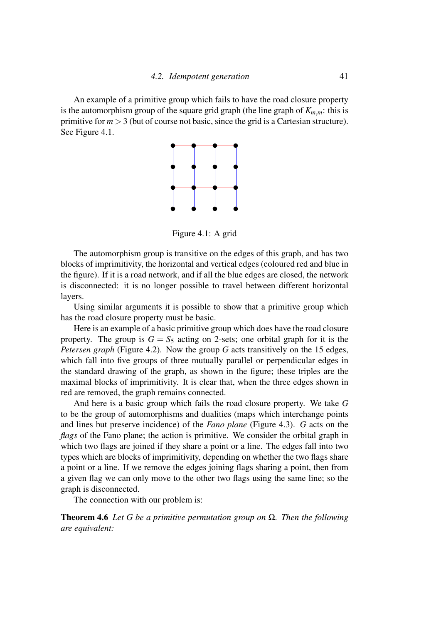An example of a primitive group which fails to have the road closure property is the automorphism group of the square grid graph (the line graph of  $K_{m,m}$ : this is primitive for  $m > 3$  (but of course not basic, since the grid is a Cartesian structure). See Figure 4.1.



Figure 4.1: A grid

The automorphism group is transitive on the edges of this graph, and has two blocks of imprimitivity, the horizontal and vertical edges (coloured red and blue in the figure). If it is a road network, and if all the blue edges are closed, the network is disconnected: it is no longer possible to travel between different horizontal layers.

Using similar arguments it is possible to show that a primitive group which has the road closure property must be basic.

Here is an example of a basic primitive group which does have the road closure property. The group is  $G = S_5$  acting on 2-sets; one orbital graph for it is the *Petersen graph* (Figure 4.2). Now the group *G* acts transitively on the 15 edges, which fall into five groups of three mutually parallel or perpendicular edges in the standard drawing of the graph, as shown in the figure; these triples are the maximal blocks of imprimitivity. It is clear that, when the three edges shown in red are removed, the graph remains connected.

And here is a basic group which fails the road closure property. We take *G* to be the group of automorphisms and dualities (maps which interchange points and lines but preserve incidence) of the *Fano plane* (Figure 4.3). *G* acts on the *flags* of the Fano plane; the action is primitive. We consider the orbital graph in which two flags are joined if they share a point or a line. The edges fall into two types which are blocks of imprimitivity, depending on whether the two flags share a point or a line. If we remove the edges joining flags sharing a point, then from a given flag we can only move to the other two flags using the same line; so the graph is disconnected.

The connection with our problem is:

Theorem 4.6 *Let G be a primitive permutation group on* Ω*. Then the following are equivalent:*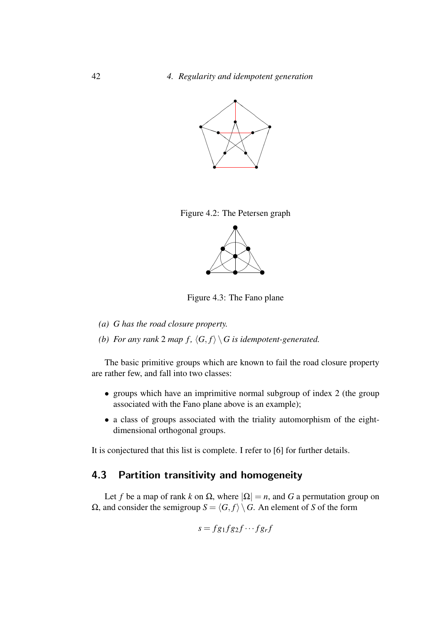

Figure 4.2: The Petersen graph



Figure 4.3: The Fano plane

- *(a) G has the road closure property.*
- *(b)* For any rank 2 map  $f$ ,  $\langle G, f \rangle \setminus G$  is idempotent-generated.

The basic primitive groups which are known to fail the road closure property are rather few, and fall into two classes:

- groups which have an imprimitive normal subgroup of index 2 (the group associated with the Fano plane above is an example);
- a class of groups associated with the triality automorphism of the eightdimensional orthogonal groups.

It is conjectured that this list is complete. I refer to [6] for further details.

## 4.3 Partition transitivity and homogeneity

Let *f* be a map of rank *k* on  $\Omega$ , where  $|\Omega| = n$ , and *G* a permutation group on Ω, and consider the semigroup *S* =  $\langle G, f \rangle$   $\setminus$  *G*. An element of *S* of the form

$$
s = fg_1fg_2f \cdots fg_rf
$$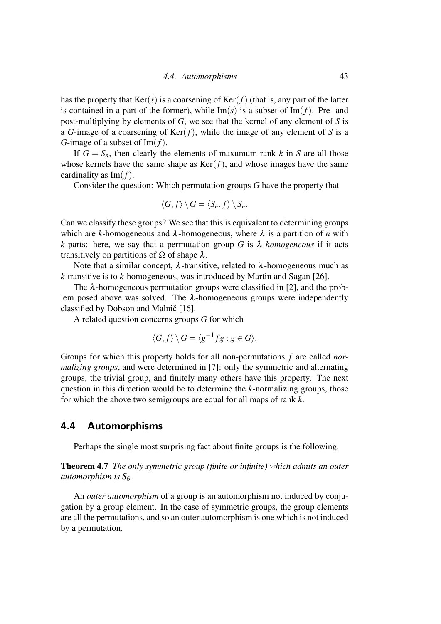has the property that  $Ker(s)$  is a coarsening of  $Ker(f)$  (that is, any part of the latter is contained in a part of the former), while  $\text{Im}(s)$  is a subset of  $\text{Im}(f)$ . Pre- and post-multiplying by elements of *G*, we see that the kernel of any element of *S* is a *G*-image of a coarsening of  $Ker(f)$ , while the image of any element of *S* is a *G*-image of a subset of Im(*f*).

If  $G = S_n$ , then clearly the elements of maxumum rank *k* in *S* are all those whose kernels have the same shape as  $Ker(f)$ , and whose images have the same cardinality as Im(*f*).

Consider the question: Which permutation groups *G* have the property that

$$
\langle G, f \rangle \setminus G = \langle S_n, f \rangle \setminus S_n.
$$

Can we classify these groups? We see that this is equivalent to determining groups which are *k*-homogeneous and  $\lambda$ -homogeneous, where  $\lambda$  is a partition of *n* with *k* parts: here, we say that a permutation group *G* is  $\lambda$ -homogeneous if it acts transitively on partitions of  $\Omega$  of shape  $\lambda$ .

Note that a similar concept,  $\lambda$ -transitive, related to  $\lambda$ -homogeneous much as *k*-transitive is to *k*-homogeneous, was introduced by Martin and Sagan [26].

The  $\lambda$ -homogeneous permutation groups were classified in [2], and the problem posed above was solved. The  $\lambda$ -homogeneous groups were independently classified by Dobson and Malnič [16].

A related question concerns groups *G* for which

$$
\langle G, f \rangle \setminus G = \langle g^{-1}fg : g \in G \rangle.
$$

Groups for which this property holds for all non-permutations *f* are called *normalizing groups*, and were determined in [7]: only the symmetric and alternating groups, the trivial group, and finitely many others have this property. The next question in this direction would be to determine the *k*-normalizing groups, those for which the above two semigroups are equal for all maps of rank *k*.

### 4.4 Automorphisms

Perhaps the single most surprising fact about finite groups is the following.

Theorem 4.7 *The only symmetric group (finite or infinite) which admits an outer automorphism is S*6*.*

An *outer automorphism* of a group is an automorphism not induced by conjugation by a group element. In the case of symmetric groups, the group elements are all the permutations, and so an outer automorphism is one which is not induced by a permutation.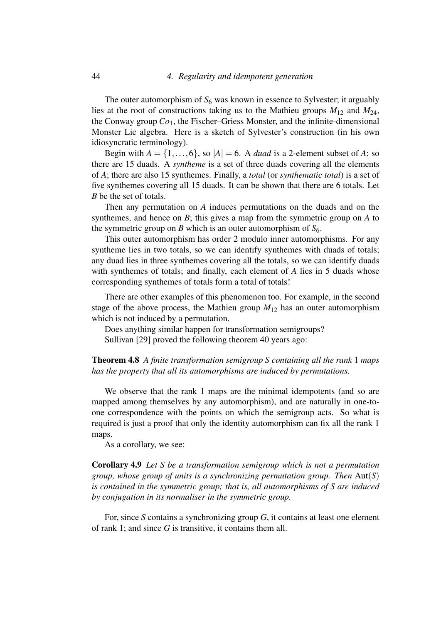The outer automorphism of  $S_6$  was known in essence to Sylvester; it arguably lies at the root of constructions taking us to the Mathieu groups  $M_{12}$  and  $M_{24}$ , the Conway group *Co*1, the Fischer–Griess Monster, and the infinite-dimensional Monster Lie algebra. Here is a sketch of Sylvester's construction (in his own idiosyncratic terminology).

Begin with  $A = \{1, \ldots, 6\}$ , so  $|A| = 6$ . A *duad* is a 2-element subset of A; so there are 15 duads. A *syntheme* is a set of three duads covering all the elements of *A*; there are also 15 synthemes. Finally, a *total* (or *synthematic total*) is a set of five synthemes covering all 15 duads. It can be shown that there are 6 totals. Let *B* be the set of totals.

Then any permutation on *A* induces permutations on the duads and on the synthemes, and hence on *B*; this gives a map from the symmetric group on *A* to the symmetric group on *B* which is an outer automorphism of  $S_6$ .

This outer automorphism has order 2 modulo inner automorphisms. For any syntheme lies in two totals, so we can identify synthemes with duads of totals; any duad lies in three synthemes covering all the totals, so we can identify duads with synthemes of totals; and finally, each element of *A* lies in 5 duads whose corresponding synthemes of totals form a total of totals!

There are other examples of this phenomenon too. For example, in the second stage of the above process, the Mathieu group  $M_{12}$  has an outer automorphism which is not induced by a permutation.

Does anything similar happen for transformation semigroups? Sullivan [29] proved the following theorem 40 years ago:

Theorem 4.8 *A finite transformation semigroup S containing all the rank* 1 *maps has the property that all its automorphisms are induced by permutations.*

We observe that the rank 1 maps are the minimal idempotents (and so are mapped among themselves by any automorphism), and are naturally in one-toone correspondence with the points on which the semigroup acts. So what is required is just a proof that only the identity automorphism can fix all the rank 1 maps.

As a corollary, we see:

Corollary 4.9 *Let S be a transformation semigroup which is not a permutation group, whose group of units is a synchronizing permutation group. Then* Aut(*S*) *is contained in the symmetric group; that is, all automorphisms of S are induced by conjugation in its normaliser in the symmetric group.*

For, since *S* contains a synchronizing group *G*, it contains at least one element of rank 1; and since *G* is transitive, it contains them all.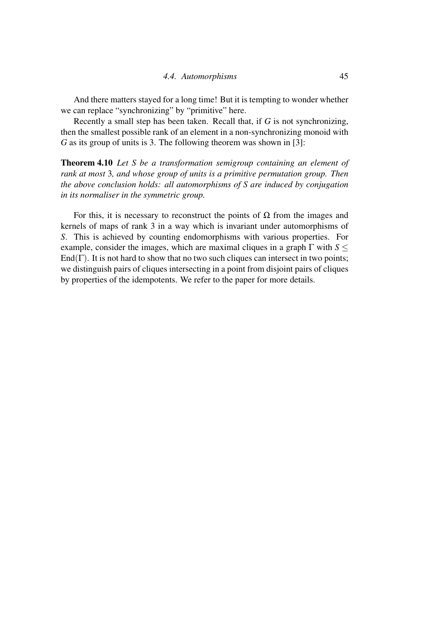And there matters stayed for a long time! But it is tempting to wonder whether we can replace "synchronizing" by "primitive" here.

Recently a small step has been taken. Recall that, if *G* is not synchronizing, then the smallest possible rank of an element in a non-synchronizing monoid with *G* as its group of units is 3. The following theorem was shown in [3]:

Theorem 4.10 *Let S be a transformation semigroup containing an element of rank at most* 3*, and whose group of units is a primitive permutation group. Then the above conclusion holds: all automorphisms of S are induced by conjugation in its normaliser in the symmetric group.*

For this, it is necessary to reconstruct the points of  $\Omega$  from the images and kernels of maps of rank 3 in a way which is invariant under automorphisms of *S*. This is achieved by counting endomorphisms with various properties. For example, consider the images, which are maximal cliques in a graph  $\Gamma$  with  $S \leq$ End( $\Gamma$ ). It is not hard to show that no two such cliques can intersect in two points; we distinguish pairs of cliques intersecting in a point from disjoint pairs of cliques by properties of the idempotents. We refer to the paper for more details.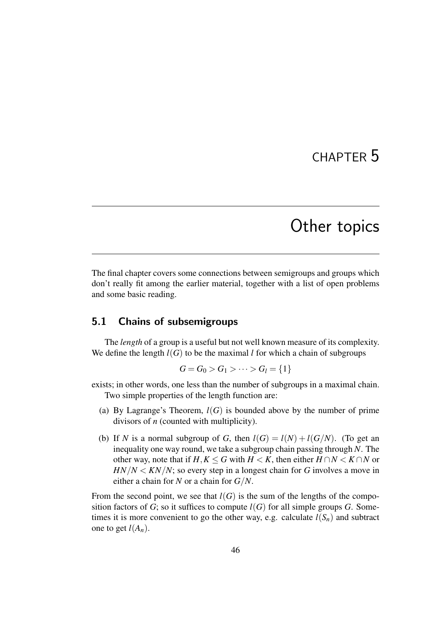## CHAPTER 5

## Other topics

The final chapter covers some connections between semigroups and groups which don't really fit among the earlier material, together with a list of open problems and some basic reading.

## 5.1 Chains of subsemigroups

The *length* of a group is a useful but not well known measure of its complexity. We define the length  $l(G)$  to be the maximal *l* for which a chain of subgroups

$$
G = G_0 > G_1 > \cdots > G_l = \{1\}
$$

exists; in other words, one less than the number of subgroups in a maximal chain. Two simple properties of the length function are:

- (a) By Lagrange's Theorem,  $l(G)$  is bounded above by the number of prime divisors of *n* (counted with multiplicity).
- (b) If *N* is a normal subgroup of *G*, then  $l(G) = l(N) + l(G/N)$ . (To get an inequality one way round, we take a subgroup chain passing through *N*. The other way, note that if  $H, K \leq G$  with  $H \leq K$ , then either  $H \cap N \leq K \cap N$  or  $HN/N < KN/N$ ; so every step in a longest chain for *G* involves a move in either a chain for *N* or a chain for *G*/*N*.

From the second point, we see that  $l(G)$  is the sum of the lengths of the composition factors of *G*; so it suffices to compute  $l(G)$  for all simple groups *G*. Sometimes it is more convenient to go the other way, e.g. calculate  $l(S_n)$  and subtract one to get  $l(A_n)$ .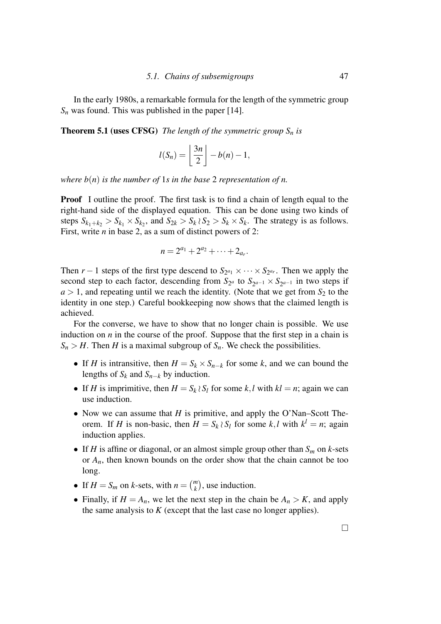In the early 1980s, a remarkable formula for the length of the symmetric group  $S_n$  was found. This was published in the paper [14].

**Theorem 5.1 (uses CFSG)** *The length of the symmetric group*  $S_n$  *is* 

$$
l(S_n) = \left\lfloor \frac{3n}{2} \right\rfloor - b(n) - 1,
$$

*where b(n) is the number of* 1*s in the base* 2 *representation of n.* 

Proof I outline the proof. The first task is to find a chain of length equal to the right-hand side of the displayed equation. This can be done using two kinds of steps  $S_{k_1+k_2} > S_{k_1} \times S_{k_2}$ , and  $S_{2k} > S_k \wr S_2 > S_k \times S_k$ . The strategy is as follows. First, write *n* in base 2, as a sum of distinct powers of 2:

$$
n = 2^{a_1} + 2^{a_2} + \cdots + 2_{a_r}.
$$

Then  $r-1$  steps of the first type descend to  $S_{2^{a_1}} \times \cdots \times S_{2^{a_r}}$ . Then we apply the second step to each factor, descending from  $S_{2^a}$  to  $S_{2^{a-1}} \times S_{2^{a-1}}$  in two steps if  $a > 1$ , and repeating until we reach the identity. (Note that we get from  $S_2$  to the identity in one step.) Careful bookkeeping now shows that the claimed length is achieved.

For the converse, we have to show that no longer chain is possible. We use induction on *n* in the course of the proof. Suppose that the first step in a chain is  $S_n > H$ . Then *H* is a maximal subgroup of  $S_n$ . We check the possibilities.

- If *H* is intransitive, then  $H = S_k \times S_{n-k}$  for some *k*, and we can bound the lengths of  $S_k$  and  $S_{n-k}$  by induction.
- If *H* is imprimitive, then  $H = S_k \setminus S_l$  for some *k*, *l* with  $kl = n$ ; again we can use induction.
- Now we can assume that *H* is primitive, and apply the O'Nan–Scott Theorem. If *H* is non-basic, then  $H = S_k \wr S_l$  for some *k*,*l* with  $k^l = n$ ; again induction applies.
- If *H* is affine or diagonal, or an almost simple group other than  $S_m$  on *k*-sets or  $A_n$ , then known bounds on the order show that the chain cannot be too long.
- If  $H = S_m$  on *k*-sets, with  $n = \binom{m}{k}$ , use induction.
- Finally, if  $H = A_n$ , we let the next step in the chain be  $A_n > K$ , and apply the same analysis to *K* (except that the last case no longer applies).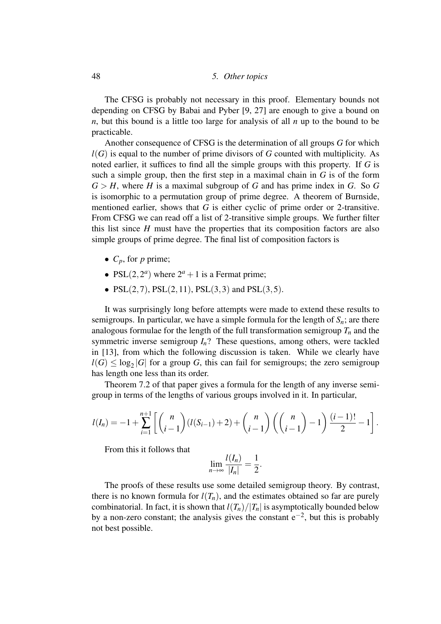The CFSG is probably not necessary in this proof. Elementary bounds not depending on CFSG by Babai and Pyber [9, 27] are enough to give a bound on *n*, but this bound is a little too large for analysis of all *n* up to the bound to be practicable.

Another consequence of CFSG is the determination of all groups *G* for which *l*(*G*) is equal to the number of prime divisors of *G* counted with multiplicity. As noted earlier, it suffices to find all the simple groups with this property. If *G* is such a simple group, then the first step in a maximal chain in *G* is of the form  $G > H$ , where *H* is a maximal subgroup of *G* and has prime index in *G*. So *G* is isomorphic to a permutation group of prime degree. A theorem of Burnside, mentioned earlier, shows that *G* is either cyclic of prime order or 2-transitive. From CFSG we can read off a list of 2-transitive simple groups. We further filter this list since  $H$  must have the properties that its composition factors are also simple groups of prime degree. The final list of composition factors is

- $C_p$ , for *p* prime;
- PSL $(2, 2^a)$  where  $2^a + 1$  is a Fermat prime;
- PSL $(2,7)$ , PSL $(2,11)$ , PSL $(3,3)$  and PSL $(3,5)$ .

It was surprisingly long before attempts were made to extend these results to semigroups. In particular, we have a simple formula for the length of  $S_n$ ; are there analogous formulae for the length of the full transformation semigroup  $T_n$  and the symmetric inverse semigroup  $I_n$ ? These questions, among others, were tackled in [13], from which the following discussion is taken. While we clearly have  $l(G) \leq \log_2 |G|$  for a group *G*, this can fail for semigroups; the zero semigroup has length one less than its order.

Theorem 7.2 of that paper gives a formula for the length of any inverse semigroup in terms of the lengths of various groups involved in it. In particular,

$$
l(I_n) = -1 + \sum_{i=1}^{n+1} \left[ \binom{n}{i-1} (l(S_{i-1}) + 2) + \binom{n}{i-1} \left( \binom{n}{i-1} - 1 \right) \frac{(i-1)!}{2} - 1 \right].
$$

From this it follows that

$$
\lim_{n\to\infty}\frac{l(I_n)}{|I_n|}=\frac{1}{2}.
$$

The proofs of these results use some detailed semigroup theory. By contrast, there is no known formula for  $l(T_n)$ , and the estimates obtained so far are purely combinatorial. In fact, it is shown that  $l(T_n)/|T_n|$  is asymptotically bounded below by a non-zero constant; the analysis gives the constant  $e^{-2}$ , but this is probably not best possible.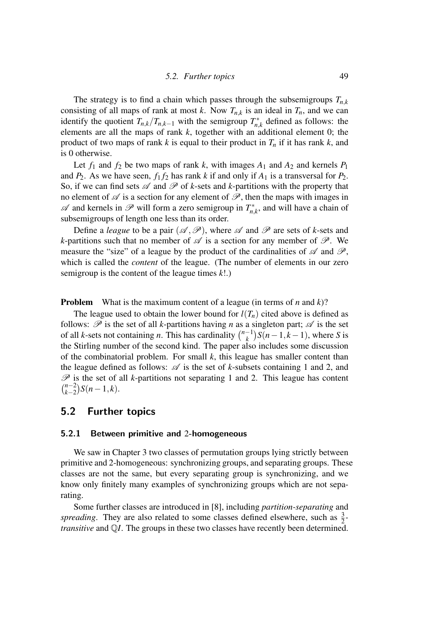The strategy is to find a chain which passes through the subsemigroups  $T_{n,k}$ consisting of all maps of rank at most *k*. Now  $T_{n,k}$  is an ideal in  $T_n$ , and we can identify the quotient  $T_{n,k}/T_{n,k-1}$  with the semigroup  $T_{n,k}^*$  $n,k$ <sup>\*</sup>, defined as follows: the elements are all the maps of rank *k*, together with an additional element 0; the product of two maps of rank *k* is equal to their product in *T<sup>n</sup>* if it has rank *k*, and is 0 otherwise.

Let  $f_1$  and  $f_2$  be two maps of rank k, with images  $A_1$  and  $A_2$  and kernels  $P_1$ and  $P_2$ . As we have seen,  $f_1 f_2$  has rank *k* if and only if  $A_1$  is a transversal for  $P_2$ . So, if we can find sets  $\mathscr A$  and  $\mathscr P$  of *k*-sets and *k*-partitions with the property that no element of  $\mathscr A$  is a section for any element of  $\mathscr P$ , then the maps with images in  $\mathscr A$  and kernels in  $\mathscr P$  will form a zero semigroup in  $T^*_{n}$ .  $\sum_{n,k}$ , and will have a chain of subsemigroups of length one less than its order.

Define a *league* to be a pair  $(\mathcal{A}, \mathcal{P})$ , where  $\mathcal A$  and  $\mathcal P$  are sets of *k*-sets and *k*-partitions such that no member of  $\mathscr A$  is a section for any member of  $\mathscr P$ . We measure the "size" of a league by the product of the cardinalities of  $\mathscr A$  and  $\mathscr P$ , which is called the *content* of the league. (The number of elements in our zero semigroup is the content of the league times *k*!.)

Problem What is the maximum content of a league (in terms of *n* and *k*)?

The league used to obtain the lower bound for  $l(T_n)$  cited above is defined as follows:  $\mathscr P$  is the set of all *k*-partitions having *n* as a singleton part;  $\mathscr A$  is the set of all *k*-sets not containing *n*. This has cardinality  $\binom{n-1}{k}$  $\binom{-1}{k}$ *S*(*n*−1, *k*−1), where *S* is the Stirling number of the second kind. The paper also includes some discussion of the combinatorial problem. For small *k*, this league has smaller content than the league defined as follows:  $\mathscr A$  is the set of *k*-subsets containing 1 and 2, and  $P$  is the set of all *k*-partitions not separating 1 and 2. This league has content  $\binom{n-2}{k}$  $\binom{n-2}{k-2}$  *S*(*n* − 1, *k*).

### 5.2 Further topics

#### 5.2.1 Between primitive and 2-homogeneous

We saw in Chapter 3 two classes of permutation groups lying strictly between primitive and 2-homogeneous: synchronizing groups, and separating groups. These classes are not the same, but every separating group is synchronizing, and we know only finitely many examples of synchronizing groups which are not separating.

Some further classes are introduced in [8], including *partition-separating* and spreading. They are also related to some classes defined elsewhere, such as  $\frac{3}{2}$ *transitive* and Q*I*. The groups in these two classes have recently been determined.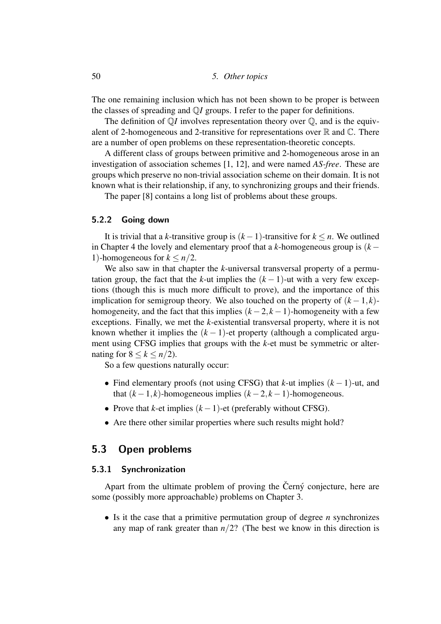The one remaining inclusion which has not been shown to be proper is between the classes of spreading and Q*I* groups. I refer to the paper for definitions.

The definition of  $\mathbb{Q}I$  involves representation theory over  $\mathbb{Q}$ , and is the equivalent of 2-homogeneous and 2-transitive for representations over  $\mathbb R$  and  $\mathbb C$ . There are a number of open problems on these representation-theoretic concepts.

A different class of groups between primitive and 2-homogeneous arose in an investigation of association schemes [1, 12], and were named *AS-free*. These are groups which preserve no non-trivial association scheme on their domain. It is not known what is their relationship, if any, to synchronizing groups and their friends.

The paper [8] contains a long list of problems about these groups.

#### 5.2.2 Going down

It is trivial that a *k*-transitive group is (*k*−1)-transitive for *k* ≤ *n*. We outlined in Chapter 4 the lovely and elementary proof that a  $k$ -homogeneous group is  $(k -$ 1)-homogeneous for  $k \leq n/2$ .

We also saw in that chapter the *k*-universal transversal property of a permutation group, the fact that the *k*-ut implies the  $(k-1)$ -ut with a very few exceptions (though this is much more difficult to prove), and the importance of this implication for semigroup theory. We also touched on the property of  $(k-1, k)$ homogeneity, and the fact that this implies  $(k-2, k-1)$ -homogeneity with a few exceptions. Finally, we met the *k*-existential transversal property, where it is not known whether it implies the  $(k - 1)$ -et property (although a complicated argument using CFSG implies that groups with the *k*-et must be symmetric or alternating for  $8 \leq k \leq n/2$ ).

So a few questions naturally occur:

- Find elementary proofs (not using CFSG) that *k*-ut implies (*k* − 1)-ut, and that  $(k-1, k)$ -homogeneous implies  $(k-2, k-1)$ -homogeneous.
- Prove that *k*-et implies (*k* −1)-et (preferably without CFSG).
- Are there other similar properties where such results might hold?

#### 5.3 Open problems

#### 5.3.1 Synchronization

Apart from the ultimate problem of proving the Černý conjecture, here are some (possibly more approachable) problems on Chapter 3.

• Is it the case that a primitive permutation group of degree *n* synchronizes any map of rank greater than  $n/2$ ? (The best we know in this direction is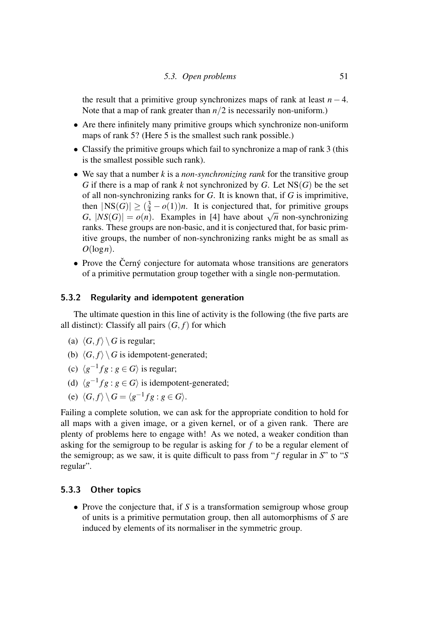the result that a primitive group synchronizes maps of rank at least  $n - 4$ . Note that a map of rank greater than *n*/2 is necessarily non-uniform.)

- Are there infinitely many primitive groups which synchronize non-uniform maps of rank 5? (Here 5 is the smallest such rank possible.)
- Classify the primitive groups which fail to synchronize a map of rank 3 (this is the smallest possible such rank).
- We say that a number *k* is a *non-synchronizing rank* for the transitive group *G* if there is a map of rank *k* not synchronized by *G*. Let  $NS(G)$  be the set of all non-synchronizing ranks for *G*. It is known that, if *G* is imprimitive, then  $|NS(G)| \geq (\frac{3}{4} - o(1))n$ . It is conjectured that, for primitive groups *G*,  $|NS(G)| \geq (\frac{1}{4} - o(1))n$ . It is conjectured that, for primitive groups *G*,  $|NS(G)| = o(n)$ . Examples in [4] have about  $\sqrt{n}$  non-synchronizing ranks. These groups are non-basic, and it is conjectured that, for basic primitive groups, the number of non-synchronizing ranks might be as small as  $O(\log n)$ .
- Prove the Černý conjecture for automata whose transitions are generators of a primitive permutation group together with a single non-permutation.

#### 5.3.2 Regularity and idempotent generation

The ultimate question in this line of activity is the following (the five parts are all distinct): Classify all pairs  $(G, f)$  for which

- (a)  $\langle G, f \rangle \setminus G$  is regular;
- (b)  $\langle G, f \rangle \setminus G$  is idempotent-generated;
- (c)  $\langle g^{-1}fg : g \in G \rangle$  is regular;
- (d)  $\langle g^{-1}fg : g \in G \rangle$  is idempotent-generated;
- (e)  $\langle G, f \rangle \setminus G = \langle g^{-1}fg : g \in G \rangle.$

Failing a complete solution, we can ask for the appropriate condition to hold for all maps with a given image, or a given kernel, or of a given rank. There are plenty of problems here to engage with! As we noted, a weaker condition than asking for the semigroup to be regular is asking for *f* to be a regular element of the semigroup; as we saw, it is quite difficult to pass from "*f* regular in *S*" to "*S* regular".

#### 5.3.3 Other topics

• Prove the conjecture that, if *S* is a transformation semigroup whose group of units is a primitive permutation group, then all automorphisms of *S* are induced by elements of its normaliser in the symmetric group.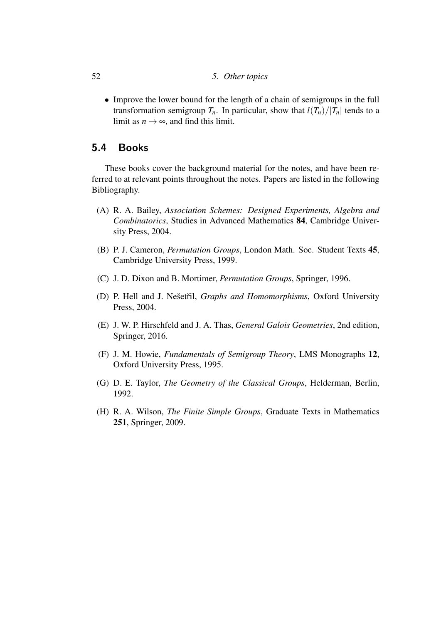#### 52 *5. Other topics*

• Improve the lower bound for the length of a chain of semigroups in the full transformation semigroup  $T_n$ . In particular, show that  $l(T_n)/|T_n|$  tends to a limit as  $n \rightarrow \infty$ , and find this limit.

### 5.4 Books

These books cover the background material for the notes, and have been referred to at relevant points throughout the notes. Papers are listed in the following Bibliography.

- (A) R. A. Bailey, *Association Schemes: Designed Experiments, Algebra and Combinatorics*, Studies in Advanced Mathematics 84, Cambridge University Press, 2004.
- (B) P. J. Cameron, *Permutation Groups*, London Math. Soc. Student Texts 45, Cambridge University Press, 1999.
- (C) J. D. Dixon and B. Mortimer, *Permutation Groups*, Springer, 1996.
- (D) P. Hell and J. Nešetřil, *Graphs and Homomorphisms*, Oxford University Press, 2004.
- (E) J. W. P. Hirschfeld and J. A. Thas, *General Galois Geometries*, 2nd edition, Springer, 2016.
- (F) J. M. Howie, *Fundamentals of Semigroup Theory*, LMS Monographs 12, Oxford University Press, 1995.
- (G) D. E. Taylor, *The Geometry of the Classical Groups*, Helderman, Berlin, 1992.
- (H) R. A. Wilson, *The Finite Simple Groups*, Graduate Texts in Mathematics 251, Springer, 2009.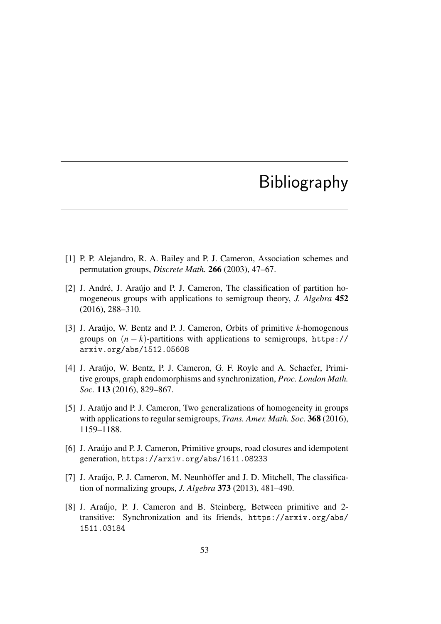# Bibliography

- [1] P. P. Alejandro, R. A. Bailey and P. J. Cameron, Association schemes and permutation groups, *Discrete Math.* 266 (2003), 47–67.
- [2] J. André, J. Araújo and P. J. Cameron, The classification of partition homogeneous groups with applications to semigroup theory, *J. Algebra* 452 (2016), 288–310.
- [3] J. Araújo, W. Bentz and P. J. Cameron, Orbits of primitive *k*-homogenous groups on  $(n - k)$ -partitions with applications to semigroups, https:// arxiv.org/abs/1512.05608
- [4] J. Araújo, W. Bentz, P. J. Cameron, G. F. Royle and A. Schaefer, Primitive groups, graph endomorphisms and synchronization, *Proc. London Math. Soc.* 113 (2016), 829–867.
- [5] J. Araújo and P. J. Cameron, Two generalizations of homogeneity in groups with applications to regular semigroups, *Trans. Amer. Math. Soc.* 368 (2016), 1159–1188.
- [6] J. Araujo and P. J. Cameron, Primitive groups, road closures and idempotent generation, https://arxiv.org/abs/1611.08233
- [7] J. Araújo, P. J. Cameron, M. Neunhöffer and J. D. Mitchell, The classification of normalizing groups, *J. Algebra* 373 (2013), 481–490.
- [8] J. Araújo, P. J. Cameron and B. Steinberg, Between primitive and 2transitive: Synchronization and its friends, https://arxiv.org/abs/ 1511.03184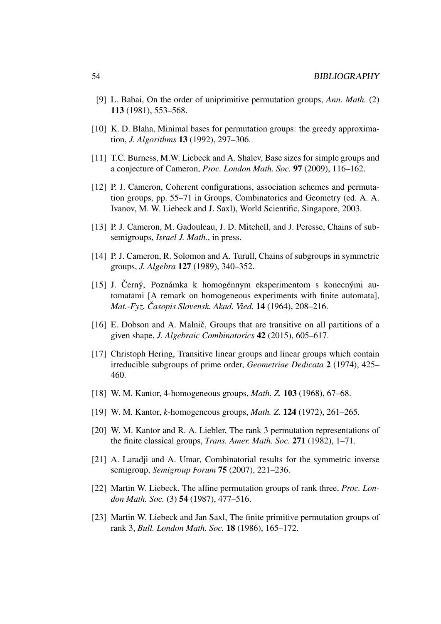- [9] L. Babai, On the order of uniprimitive permutation groups, *Ann. Math.* (2) 113 (1981), 553–568.
- [10] K. D. Blaha, Minimal bases for permutation groups: the greedy approximation, *J. Algorithms* 13 (1992), 297–306.
- [11] T.C. Burness, M.W. Liebeck and A. Shalev, Base sizes for simple groups and a conjecture of Cameron, *Proc. London Math. Soc.* 97 (2009), 116–162.
- [12] P. J. Cameron, Coherent configurations, association schemes and permutation groups, pp. 55–71 in Groups, Combinatorics and Geometry (ed. A. A. Ivanov, M. W. Liebeck and J. Saxl), World Scientific, Singapore, 2003.
- [13] P. J. Cameron, M. Gadouleau, J. D. Mitchell, and J. Peresse, Chains of subsemigroups, *Israel J. Math.*, in press.
- [14] P. J. Cameron, R. Solomon and A. Turull, Chains of subgroups in symmetric groups, *J. Algebra* 127 (1989), 340–352.
- $[15]$  J. Černý, Poznámka k homogénnym eksperimentom s konecnými automatami [A remark on homogeneous experiments with finite automata], *Mat.-Fyz. Casopis Slovensk. Akad. Vied. ˇ* 14 (1964), 208–216.
- [16] E. Dobson and A. Malnič, Groups that are transitive on all partitions of a given shape, *J. Algebraic Combinatorics* 42 (2015), 605–617.
- [17] Christoph Hering, Transitive linear groups and linear groups which contain irreducible subgroups of prime order, *Geometriae Dedicata* 2 (1974), 425– 460.
- [18] W. M. Kantor, 4-homogeneous groups, *Math. Z.* 103 (1968), 67–68.
- [19] W. M. Kantor, *k*-homogeneous groups, *Math. Z.* 124 (1972), 261–265.
- [20] W. M. Kantor and R. A. Liebler, The rank 3 permutation representations of the finite classical groups, *Trans. Amer. Math. Soc.* 271 (1982), 1–71.
- [21] A. Laradji and A. Umar, Combinatorial results for the symmetric inverse semigroup, *Semigroup Forum* 75 (2007), 221–236.
- [22] Martin W. Liebeck, The affine permutation groups of rank three, *Proc. London Math. Soc.* (3) 54 (1987), 477–516.
- [23] Martin W. Liebeck and Jan Saxl, The finite primitive permutation groups of rank 3, *Bull. London Math. Soc.* 18 (1986), 165–172.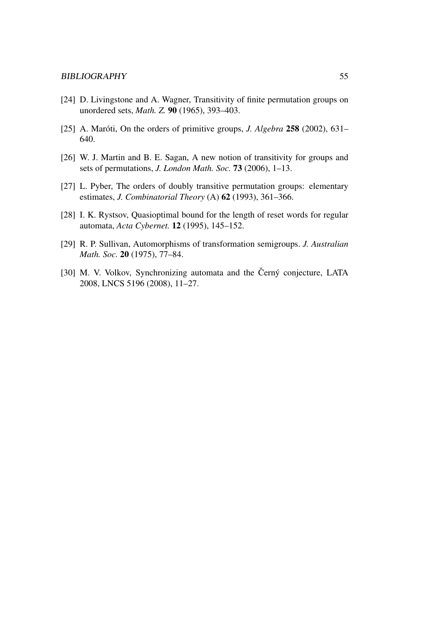- [24] D. Livingstone and A. Wagner, Transitivity of finite permutation groups on unordered sets, *Math. Z.* 90 (1965), 393–403.
- [25] A. Maróti, On the orders of primitive groups, *J. Algebra* 258 (2002), 631– 640.
- [26] W. J. Martin and B. E. Sagan, A new notion of transitivity for groups and sets of permutations, *J. London Math. Soc.* 73 (2006), 1–13.
- [27] L. Pyber, The orders of doubly transitive permutation groups: elementary estimates, *J. Combinatorial Theory* (A) 62 (1993), 361–366.
- [28] I. K. Rystsov, Quasioptimal bound for the length of reset words for regular automata, *Acta Cybernet.* 12 (1995), 145–152.
- [29] R. P. Sullivan, Automorphisms of transformation semigroups. *J. Australian Math. Soc.* 20 (1975), 77–84.
- [30] M. V. Volkov, Synchronizing automata and the Černý conjecture, LATA 2008, LNCS 5196 (2008), 11–27.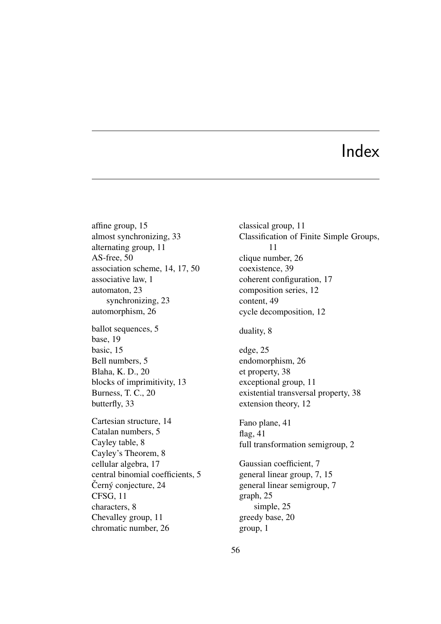## Index

affine group, 15 almost synchronizing, 33 alternating group, 11 AS-free, 50 association scheme, 14, 17, 50 associative law, 1 automaton, 23 synchronizing, 23 automorphism, 26 ballot sequences, 5 base, 19 basic, 15 Bell numbers, 5 Blaha, K. D., 20 blocks of imprimitivity, 13 Burness, T. C., 20 butterfly, 33 Cartesian structure, 14 Catalan numbers, 5 Cayley table, 8 Cayley's Theorem, 8 cellular algebra, 17 central binomial coefficients, 5 Černý conjecture, 24 CFSG, 11 characters, 8 Chevalley group, 11 chromatic number, 26

Classification of Finite Simple Groups, 11 clique number, 26 coexistence, 39 coherent configuration, 17 composition series, 12 content, 49 cycle decomposition, 12 duality, 8 edge, 25 endomorphism, 26 et property, 38 exceptional group, 11 existential transversal property, 38 extension theory, 12 Fano plane, 41 flag, 41 full transformation semigroup, 2 Gaussian coefficient, 7 general linear group, 7, 15 general linear semigroup, 7 graph, 25 simple, 25 greedy base, 20

classical group, 11

group, 1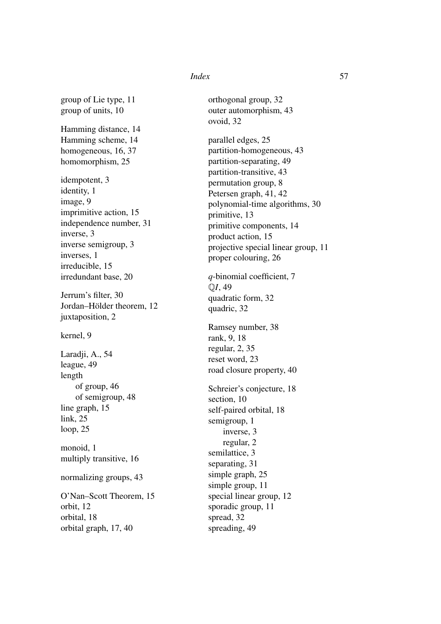#### *Index* 57

group of Lie type, 11 group of units, 10

Hamming distance, 14 Hamming scheme, 14 homogeneous, 16, 37 homomorphism, 25

idempotent, 3 identity, 1 image, 9 imprimitive action, 15 independence number, 31 inverse, 3 inverse semigroup, 3 inverses, 1 irreducible, 15 irredundant base, 20

Jerrum's filter, 30 Jordan–Hölder theorem, 12 juxtaposition, 2

kernel, 9

Laradji, A., 54 league, 49 length of group, 46 of semigroup, 48 line graph, 15 link, 25 loop, 25 monoid, 1 multiply transitive, 16

normalizing groups, 43

O'Nan–Scott Theorem, 15 orbit, 12 orbital, 18 orbital graph, 17, 40

orthogonal group, 32 outer automorphism, 43 ovoid, 32

parallel edges, 25 partition-homogeneous, 43 partition-separating, 49 partition-transitive, 43 permutation group, 8 Petersen graph, 41, 42 polynomial-time algorithms, 30 primitive, 13 primitive components, 14 product action, 15 projective special linear group, 11 proper colouring, 26

*q*-binomial coefficient, 7 Q*I*, 49 quadratic form, 32 quadric, 32

Ramsey number, 38 rank, 9, 18 regular, 2, 35 reset word, 23 road closure property, 40

Schreier's conjecture, 18 section, 10 self-paired orbital, 18 semigroup, 1 inverse, 3 regular, 2 semilattice, 3 separating, 31 simple graph, 25 simple group, 11 special linear group, 12 sporadic group, 11 spread, 32 spreading, 49